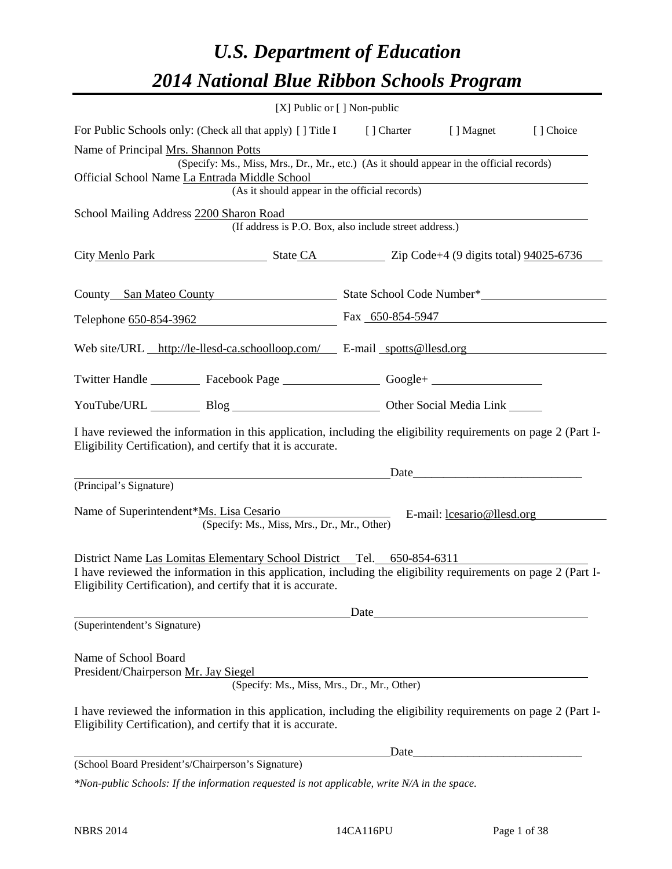# *U.S. Department of Education 2014 National Blue Ribbon Schools Program*

|                                                                                                                                                                                | [X] Public or [] Non-public |                                                                                                                       |           |
|--------------------------------------------------------------------------------------------------------------------------------------------------------------------------------|-----------------------------|-----------------------------------------------------------------------------------------------------------------------|-----------|
| For Public Schools only: (Check all that apply) [] Title I [] Charter [] Magnet                                                                                                |                             |                                                                                                                       | [] Choice |
| Name of Principal Mrs. Shannon Potts                                                                                                                                           |                             |                                                                                                                       |           |
| (Specify: Ms., Miss, Mrs., Dr., Mr., etc.) (As it should appear in the official records)<br>Official School Name La Entrada Middle School                                      |                             |                                                                                                                       |           |
| (As it should appear in the official records)                                                                                                                                  |                             | <u> 1989 - Johann Barn, mars ann an t-Alban ann an t-Alban ann an t-Alban ann an t-Alban ann an t-Alban ann an t-</u> |           |
| School Mailing Address 2200 Sharon Road                                                                                                                                        |                             |                                                                                                                       |           |
| (If address is P.O. Box, also include street address.)                                                                                                                         |                             |                                                                                                                       |           |
| City Menlo Park State CA Zip Code+4 (9 digits total) 94025-6736                                                                                                                |                             |                                                                                                                       |           |
| County San Mateo County State School Code Number*                                                                                                                              |                             |                                                                                                                       |           |
| Telephone 650-854-3962 Fax 650-854-5947                                                                                                                                        |                             |                                                                                                                       |           |
| Web site/URL http://le-llesd-ca.schoolloop.com/ E-mail spotts@llesd.org                                                                                                        |                             |                                                                                                                       |           |
| Twitter Handle ___________ Facebook Page ___________________ Google+ ____________                                                                                              |                             |                                                                                                                       |           |
| YouTube/URL Blog Blog Discount Other Social Media Link                                                                                                                         |                             |                                                                                                                       |           |
| I have reviewed the information in this application, including the eligibility requirements on page 2 (Part I-<br>Eligibility Certification), and certify that it is accurate. |                             |                                                                                                                       |           |
| Date                                                                                                                                                                           |                             |                                                                                                                       |           |
| (Principal's Signature)                                                                                                                                                        |                             |                                                                                                                       |           |
| Name of Superintendent*Ms. Lisa Cesario                                                                                                                                        |                             | E-mail: losario@llesd.org                                                                                             |           |
| (Specify: Ms., Miss, Mrs., Dr., Mr., Other)                                                                                                                                    |                             |                                                                                                                       |           |
| District Name Las Lomitas Elementary School District Tel. 650-854-6311                                                                                                         |                             |                                                                                                                       |           |
| I have reviewed the information in this application, including the eligibility requirements on page 2 (Part I-<br>Eligibility Certification), and certify that it is accurate. |                             |                                                                                                                       |           |
|                                                                                                                                                                                | Date                        |                                                                                                                       |           |
| (Superintendent's Signature)                                                                                                                                                   |                             |                                                                                                                       |           |
| Name of School Board                                                                                                                                                           |                             |                                                                                                                       |           |
| President/Chairperson Mr. Jay Siegel                                                                                                                                           |                             |                                                                                                                       |           |
| (Specify: Ms., Miss, Mrs., Dr., Mr., Other)                                                                                                                                    |                             |                                                                                                                       |           |
| I have reviewed the information in this application, including the eligibility requirements on page 2 (Part I-<br>Eligibility Certification), and certify that it is accurate. |                             |                                                                                                                       |           |
|                                                                                                                                                                                |                             |                                                                                                                       |           |
| (School Board President's/Chairperson's Signature)                                                                                                                             |                             |                                                                                                                       |           |

*\*Non-public Schools: If the information requested is not applicable, write N/A in the space.*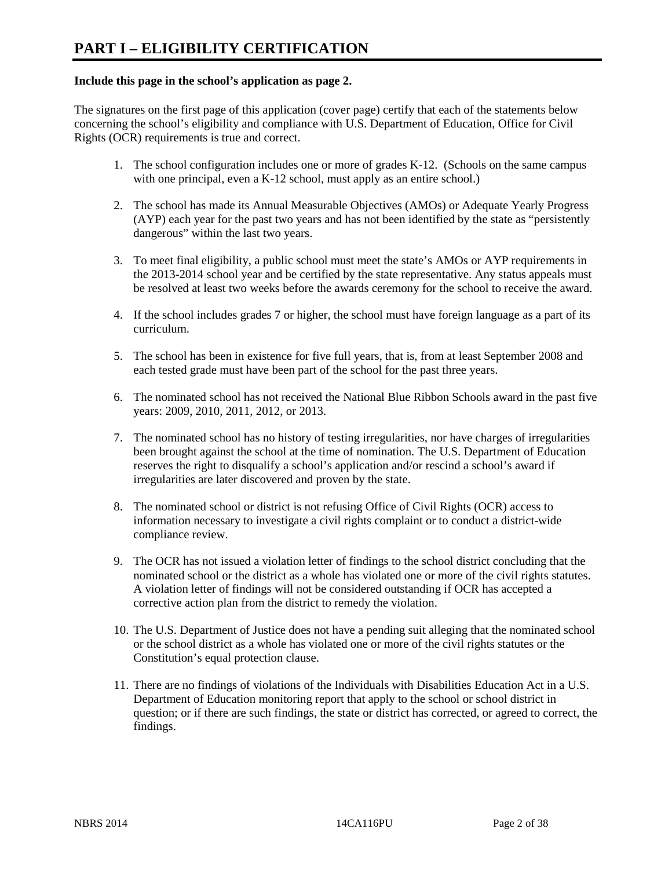#### **Include this page in the school's application as page 2.**

The signatures on the first page of this application (cover page) certify that each of the statements below concerning the school's eligibility and compliance with U.S. Department of Education, Office for Civil Rights (OCR) requirements is true and correct.

- 1. The school configuration includes one or more of grades K-12. (Schools on the same campus with one principal, even a K-12 school, must apply as an entire school.)
- 2. The school has made its Annual Measurable Objectives (AMOs) or Adequate Yearly Progress (AYP) each year for the past two years and has not been identified by the state as "persistently dangerous" within the last two years.
- 3. To meet final eligibility, a public school must meet the state's AMOs or AYP requirements in the 2013-2014 school year and be certified by the state representative. Any status appeals must be resolved at least two weeks before the awards ceremony for the school to receive the award.
- 4. If the school includes grades 7 or higher, the school must have foreign language as a part of its curriculum.
- 5. The school has been in existence for five full years, that is, from at least September 2008 and each tested grade must have been part of the school for the past three years.
- 6. The nominated school has not received the National Blue Ribbon Schools award in the past five years: 2009, 2010, 2011, 2012, or 2013.
- 7. The nominated school has no history of testing irregularities, nor have charges of irregularities been brought against the school at the time of nomination. The U.S. Department of Education reserves the right to disqualify a school's application and/or rescind a school's award if irregularities are later discovered and proven by the state.
- 8. The nominated school or district is not refusing Office of Civil Rights (OCR) access to information necessary to investigate a civil rights complaint or to conduct a district-wide compliance review.
- 9. The OCR has not issued a violation letter of findings to the school district concluding that the nominated school or the district as a whole has violated one or more of the civil rights statutes. A violation letter of findings will not be considered outstanding if OCR has accepted a corrective action plan from the district to remedy the violation.
- 10. The U.S. Department of Justice does not have a pending suit alleging that the nominated school or the school district as a whole has violated one or more of the civil rights statutes or the Constitution's equal protection clause.
- 11. There are no findings of violations of the Individuals with Disabilities Education Act in a U.S. Department of Education monitoring report that apply to the school or school district in question; or if there are such findings, the state or district has corrected, or agreed to correct, the findings.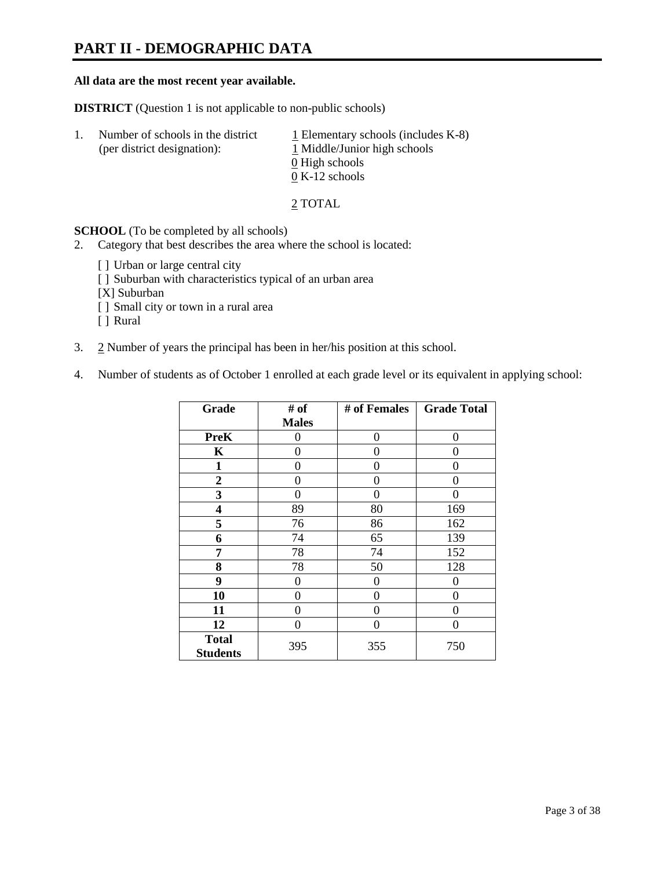# **PART II - DEMOGRAPHIC DATA**

#### **All data are the most recent year available.**

**DISTRICT** (Question 1 is not applicable to non-public schools)

| $\perp$ . | Number of schools in the district<br>(per district designation): | $\perp$ Elementary schools (includes K-8)<br>1 Middle/Junior high schools<br>0 High schools<br>$0 K-12$ schools |
|-----------|------------------------------------------------------------------|-----------------------------------------------------------------------------------------------------------------|
|           |                                                                  |                                                                                                                 |

2 TOTAL

**SCHOOL** (To be completed by all schools)

- 2. Category that best describes the area where the school is located:
	- [] Urban or large central city
	- [ ] Suburban with characteristics typical of an urban area
	- [X] Suburban
	- [ ] Small city or town in a rural area
	- [ ] Rural
- 3. 2 Number of years the principal has been in her/his position at this school.
- 4. Number of students as of October 1 enrolled at each grade level or its equivalent in applying school:

| Grade                           | # of         | # of Females | <b>Grade Total</b> |
|---------------------------------|--------------|--------------|--------------------|
|                                 | <b>Males</b> |              |                    |
| <b>PreK</b>                     | 0            | 0            | 0                  |
| K                               | 0            | 0            | 0                  |
| $\mathbf{1}$                    | 0            | 0            | 0                  |
| $\mathbf{2}$                    | 0            | 0            | 0                  |
| 3                               | 0            | 0            | 0                  |
| 4                               | 89           | 80           | 169                |
| 5                               | 76           | 86           | 162                |
| 6                               | 74           | 65           | 139                |
| 7                               | 78           | 74           | 152                |
| 8                               | 78           | 50           | 128                |
| 9                               | 0            | 0            | 0                  |
| 10                              | 0            | 0            | 0                  |
| 11                              | 0            | 0            | 0                  |
| 12                              | 0            | 0            | 0                  |
| <b>Total</b><br><b>Students</b> | 395          | 355          | 750                |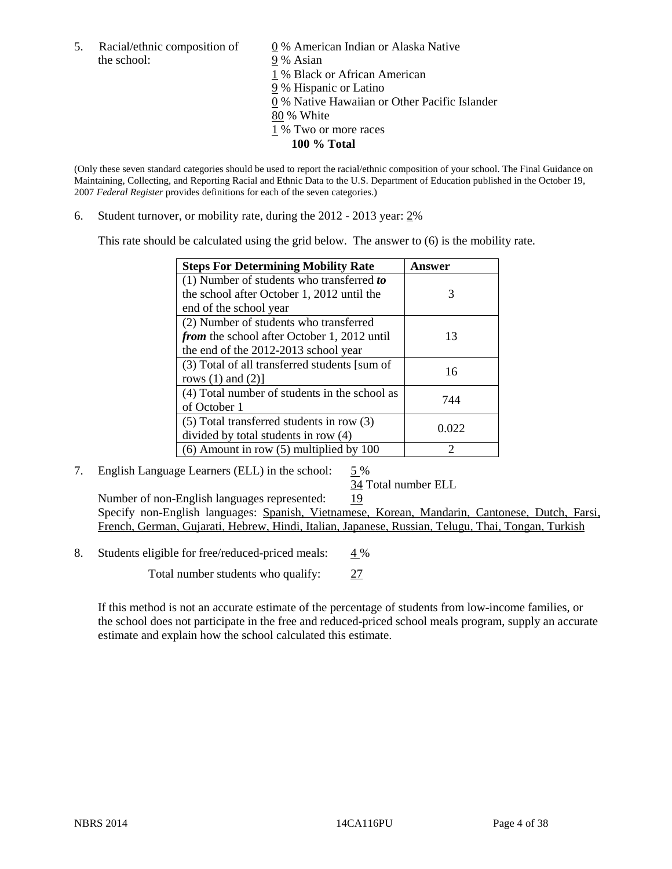5. Racial/ethnic composition of  $\qquad \qquad \underline{0}$  % American Indian or Alaska Native the school: 9 % Asian

 1 % Black or African American 9 % Hispanic or Latino 0 % Native Hawaiian or Other Pacific Islander 80 % White 1 % Two or more races **100 % Total** 

(Only these seven standard categories should be used to report the racial/ethnic composition of your school. The Final Guidance on Maintaining, Collecting, and Reporting Racial and Ethnic Data to the U.S. Department of Education published in the October 19, 2007 *Federal Register* provides definitions for each of the seven categories.)

6. Student turnover, or mobility rate, during the 2012 - 2013 year: 2%

This rate should be calculated using the grid below. The answer to (6) is the mobility rate.

| <b>Steps For Determining Mobility Rate</b>         | Answer |
|----------------------------------------------------|--------|
| (1) Number of students who transferred to          |        |
| the school after October 1, 2012 until the         | 3      |
| end of the school year                             |        |
| (2) Number of students who transferred             |        |
| <i>from</i> the school after October 1, 2012 until | 13     |
| the end of the 2012-2013 school year               |        |
| (3) Total of all transferred students [sum of      | 16     |
| rows $(1)$ and $(2)$ ]                             |        |
| (4) Total number of students in the school as      | 744    |
| of October 1                                       |        |
| $(5)$ Total transferred students in row $(3)$      | 0.022  |
| divided by total students in row (4)               |        |
| $(6)$ Amount in row $(5)$ multiplied by 100        | ာ      |

#### 7. English Language Learners (ELL) in the school: 5 %

34 Total number ELL

Number of non-English languages represented: 19 Specify non-English languages: Spanish, Vietnamese, Korean, Mandarin, Cantonese, Dutch, Farsi, French, German, Gujarati, Hebrew, Hindi, Italian, Japanese, Russian, Telugu, Thai, Tongan, Turkish

8. Students eligible for free/reduced-priced meals:  $4\%$ 

Total number students who qualify: 27

If this method is not an accurate estimate of the percentage of students from low-income families, or the school does not participate in the free and reduced-priced school meals program, supply an accurate estimate and explain how the school calculated this estimate.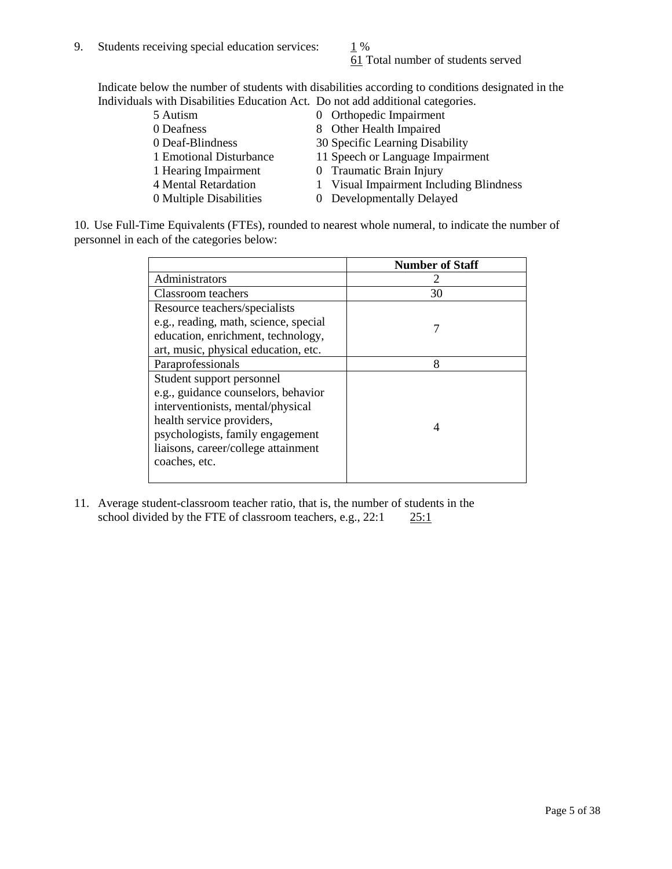# 61 Total number of students served

Indicate below the number of students with disabilities according to conditions designated in the Individuals with Disabilities Education Act. Do not add additional categories.

| 5 Autism                | 0 Orthopedic Impairment                 |
|-------------------------|-----------------------------------------|
| 0 Deafness              | 8 Other Health Impaired                 |
| 0 Deaf-Blindness        | 30 Specific Learning Disability         |
| 1 Emotional Disturbance | 11 Speech or Language Impairment        |
| 1 Hearing Impairment    | 0 Traumatic Brain Injury                |
| 4 Mental Retardation    | 1 Visual Impairment Including Blindness |
| 0 Multiple Disabilities | 0 Developmentally Delayed               |
|                         |                                         |

10. Use Full-Time Equivalents (FTEs), rounded to nearest whole numeral, to indicate the number of personnel in each of the categories below:

|                                       | <b>Number of Staff</b> |
|---------------------------------------|------------------------|
| Administrators                        |                        |
| <b>Classroom</b> teachers             | 30                     |
| Resource teachers/specialists         |                        |
| e.g., reading, math, science, special |                        |
| education, enrichment, technology,    |                        |
| art, music, physical education, etc.  |                        |
| Paraprofessionals                     | 8                      |
| Student support personnel             |                        |
| e.g., guidance counselors, behavior   |                        |
| interventionists, mental/physical     |                        |
| health service providers,             |                        |
| psychologists, family engagement      |                        |
| liaisons, career/college attainment   |                        |
| coaches, etc.                         |                        |
|                                       |                        |

11. Average student-classroom teacher ratio, that is, the number of students in the school divided by the FTE of classroom teachers, e.g.,  $22:1$   $25:1$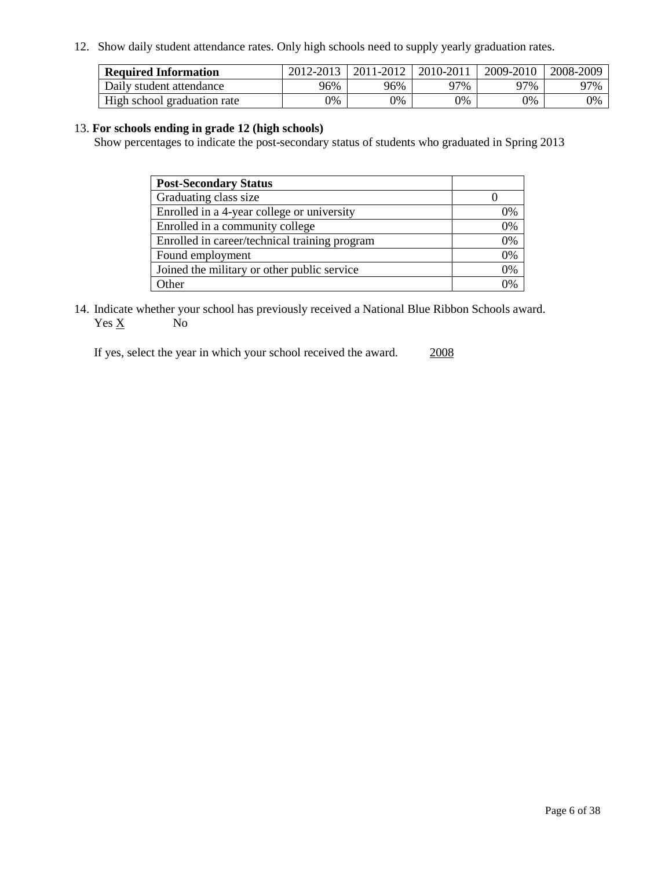12. Show daily student attendance rates. Only high schools need to supply yearly graduation rates.

| <b>Required Information</b> | 2012-2013 | 2011-2012 | 2010-2011 | 2009-2010 | 2008-2009 |
|-----------------------------|-----------|-----------|-----------|-----------|-----------|
| Daily student attendance    | 96%       | 96%       | 97%       | 97%       | 97%       |
| High school graduation rate | 0%        | 9%        | 0%        | 0%        | 0%        |

#### 13. **For schools ending in grade 12 (high schools)**

Show percentages to indicate the post-secondary status of students who graduated in Spring 2013

| <b>Post-Secondary Status</b>                  |                |
|-----------------------------------------------|----------------|
| Graduating class size                         |                |
| Enrolled in a 4-year college or university    | 0%             |
| Enrolled in a community college               | 0%             |
| Enrolled in career/technical training program | 0%             |
| Found employment                              | 0%             |
| Joined the military or other public service   | 0%             |
| <b>Other</b>                                  | $\gamma_{0/2}$ |

14. Indicate whether your school has previously received a National Blue Ribbon Schools award.  $Yes \underline{X}$  No

If yes, select the year in which your school received the award. 2008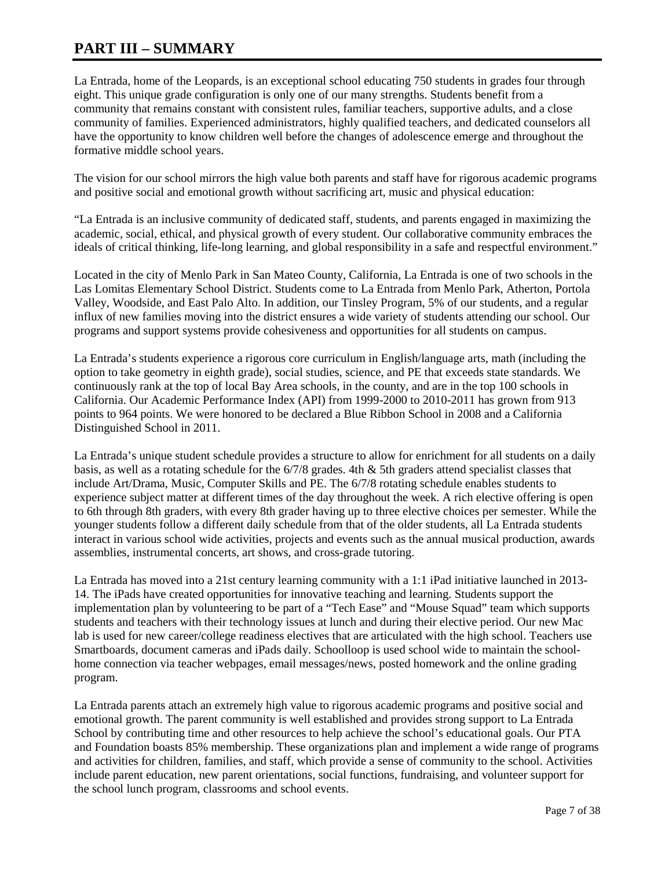# **PART III – SUMMARY**

La Entrada, home of the Leopards, is an exceptional school educating 750 students in grades four through eight. This unique grade configuration is only one of our many strengths. Students benefit from a community that remains constant with consistent rules, familiar teachers, supportive adults, and a close community of families. Experienced administrators, highly qualified teachers, and dedicated counselors all have the opportunity to know children well before the changes of adolescence emerge and throughout the formative middle school years.

The vision for our school mirrors the high value both parents and staff have for rigorous academic programs and positive social and emotional growth without sacrificing art, music and physical education:

"La Entrada is an inclusive community of dedicated staff, students, and parents engaged in maximizing the academic, social, ethical, and physical growth of every student. Our collaborative community embraces the ideals of critical thinking, life-long learning, and global responsibility in a safe and respectful environment."

Located in the city of Menlo Park in San Mateo County, California, La Entrada is one of two schools in the Las Lomitas Elementary School District. Students come to La Entrada from Menlo Park, Atherton, Portola Valley, Woodside, and East Palo Alto. In addition, our Tinsley Program, 5% of our students, and a regular influx of new families moving into the district ensures a wide variety of students attending our school. Our programs and support systems provide cohesiveness and opportunities for all students on campus.

La Entrada's students experience a rigorous core curriculum in English/language arts, math (including the option to take geometry in eighth grade), social studies, science, and PE that exceeds state standards. We continuously rank at the top of local Bay Area schools, in the county, and are in the top 100 schools in California. Our Academic Performance Index (API) from 1999-2000 to 2010-2011 has grown from 913 points to 964 points. We were honored to be declared a Blue Ribbon School in 2008 and a California Distinguished School in 2011.

La Entrada's unique student schedule provides a structure to allow for enrichment for all students on a daily basis, as well as a rotating schedule for the  $6/7/8$  grades. 4th  $&$  5th graders attend specialist classes that include Art/Drama, Music, Computer Skills and PE. The 6/7/8 rotating schedule enables students to experience subject matter at different times of the day throughout the week. A rich elective offering is open to 6th through 8th graders, with every 8th grader having up to three elective choices per semester. While the younger students follow a different daily schedule from that of the older students, all La Entrada students interact in various school wide activities, projects and events such as the annual musical production, awards assemblies, instrumental concerts, art shows, and cross-grade tutoring.

La Entrada has moved into a 21st century learning community with a 1:1 iPad initiative launched in 2013- 14. The iPads have created opportunities for innovative teaching and learning. Students support the implementation plan by volunteering to be part of a "Tech Ease" and "Mouse Squad" team which supports students and teachers with their technology issues at lunch and during their elective period. Our new Mac lab is used for new career/college readiness electives that are articulated with the high school. Teachers use Smartboards, document cameras and iPads daily. Schoolloop is used school wide to maintain the schoolhome connection via teacher webpages, email messages/news, posted homework and the online grading program.

La Entrada parents attach an extremely high value to rigorous academic programs and positive social and emotional growth. The parent community is well established and provides strong support to La Entrada School by contributing time and other resources to help achieve the school's educational goals. Our PTA and Foundation boasts 85% membership. These organizations plan and implement a wide range of programs and activities for children, families, and staff, which provide a sense of community to the school. Activities include parent education, new parent orientations, social functions, fundraising, and volunteer support for the school lunch program, classrooms and school events.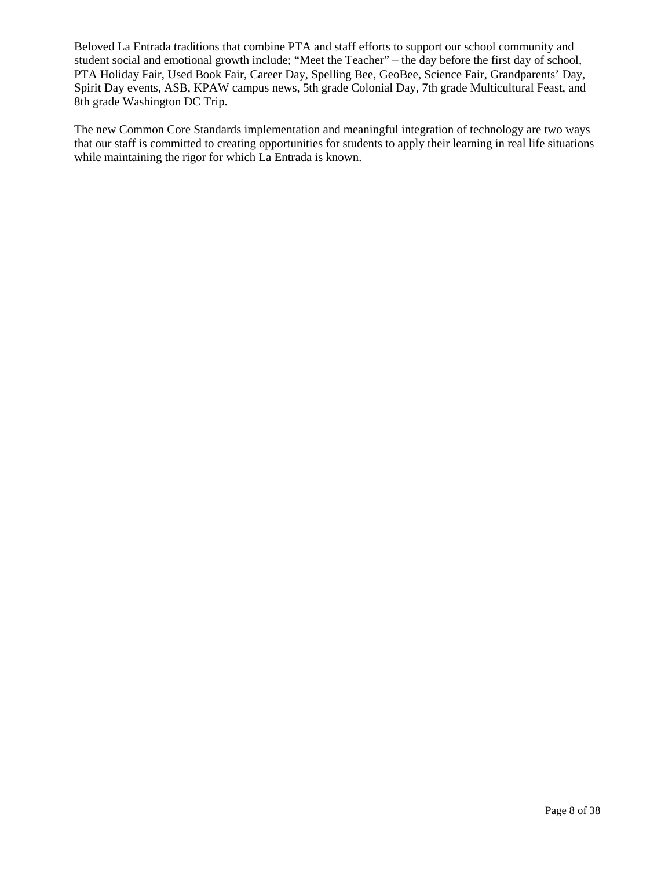Beloved La Entrada traditions that combine PTA and staff efforts to support our school community and student social and emotional growth include; "Meet the Teacher" – the day before the first day of school, PTA Holiday Fair, Used Book Fair, Career Day, Spelling Bee, GeoBee, Science Fair, Grandparents' Day, Spirit Day events, ASB, KPAW campus news, 5th grade Colonial Day, 7th grade Multicultural Feast, and 8th grade Washington DC Trip.

The new Common Core Standards implementation and meaningful integration of technology are two ways that our staff is committed to creating opportunities for students to apply their learning in real life situations while maintaining the rigor for which La Entrada is known.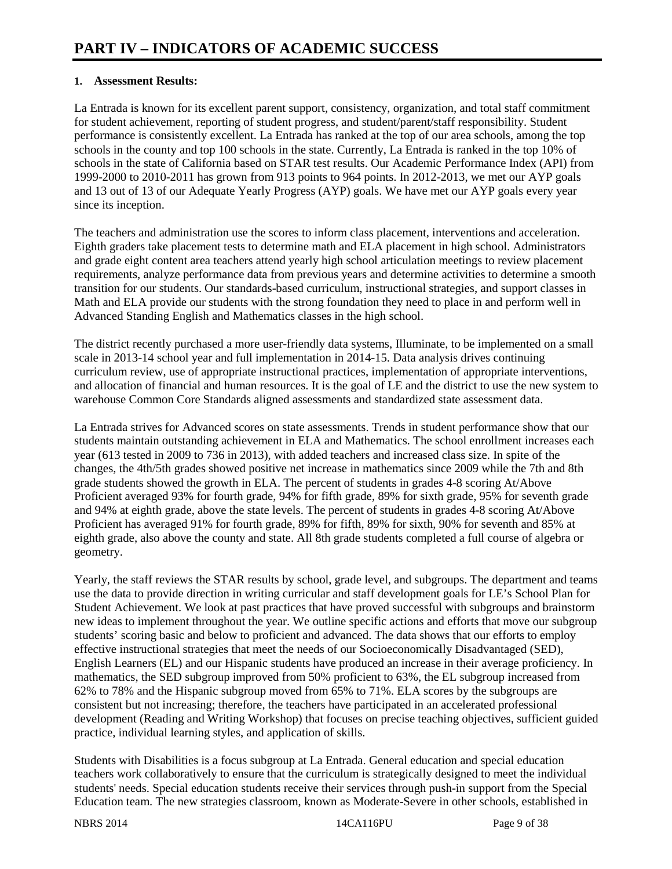#### **1. Assessment Results:**

La Entrada is known for its excellent parent support, consistency, organization, and total staff commitment for student achievement, reporting of student progress, and student/parent/staff responsibility. Student performance is consistently excellent. La Entrada has ranked at the top of our area schools, among the top schools in the county and top 100 schools in the state. Currently, La Entrada is ranked in the top 10% of schools in the state of California based on STAR test results. Our Academic Performance Index (API) from 1999-2000 to 2010-2011 has grown from 913 points to 964 points. In 2012-2013, we met our AYP goals and 13 out of 13 of our Adequate Yearly Progress (AYP) goals. We have met our AYP goals every year since its inception.

The teachers and administration use the scores to inform class placement, interventions and acceleration. Eighth graders take placement tests to determine math and ELA placement in high school. Administrators and grade eight content area teachers attend yearly high school articulation meetings to review placement requirements, analyze performance data from previous years and determine activities to determine a smooth transition for our students. Our standards-based curriculum, instructional strategies, and support classes in Math and ELA provide our students with the strong foundation they need to place in and perform well in Advanced Standing English and Mathematics classes in the high school.

The district recently purchased a more user-friendly data systems, Illuminate, to be implemented on a small scale in 2013-14 school year and full implementation in 2014-15. Data analysis drives continuing curriculum review, use of appropriate instructional practices, implementation of appropriate interventions, and allocation of financial and human resources. It is the goal of LE and the district to use the new system to warehouse Common Core Standards aligned assessments and standardized state assessment data.

La Entrada strives for Advanced scores on state assessments. Trends in student performance show that our students maintain outstanding achievement in ELA and Mathematics. The school enrollment increases each year (613 tested in 2009 to 736 in 2013), with added teachers and increased class size. In spite of the changes, the 4th/5th grades showed positive net increase in mathematics since 2009 while the 7th and 8th grade students showed the growth in ELA. The percent of students in grades 4-8 scoring At/Above Proficient averaged 93% for fourth grade, 94% for fifth grade, 89% for sixth grade, 95% for seventh grade and 94% at eighth grade, above the state levels. The percent of students in grades 4-8 scoring At/Above Proficient has averaged 91% for fourth grade, 89% for fifth, 89% for sixth, 90% for seventh and 85% at eighth grade, also above the county and state. All 8th grade students completed a full course of algebra or geometry.

Yearly, the staff reviews the STAR results by school, grade level, and subgroups. The department and teams use the data to provide direction in writing curricular and staff development goals for LE's School Plan for Student Achievement. We look at past practices that have proved successful with subgroups and brainstorm new ideas to implement throughout the year. We outline specific actions and efforts that move our subgroup students' scoring basic and below to proficient and advanced. The data shows that our efforts to employ effective instructional strategies that meet the needs of our Socioeconomically Disadvantaged (SED), English Learners (EL) and our Hispanic students have produced an increase in their average proficiency. In mathematics, the SED subgroup improved from 50% proficient to 63%, the EL subgroup increased from 62% to 78% and the Hispanic subgroup moved from 65% to 71%. ELA scores by the subgroups are consistent but not increasing; therefore, the teachers have participated in an accelerated professional development (Reading and Writing Workshop) that focuses on precise teaching objectives, sufficient guided practice, individual learning styles, and application of skills.

Students with Disabilities is a focus subgroup at La Entrada. General education and special education teachers work collaboratively to ensure that the curriculum is strategically designed to meet the individual students' needs. Special education students receive their services through push-in support from the Special Education team. The new strategies classroom, known as Moderate-Severe in other schools, established in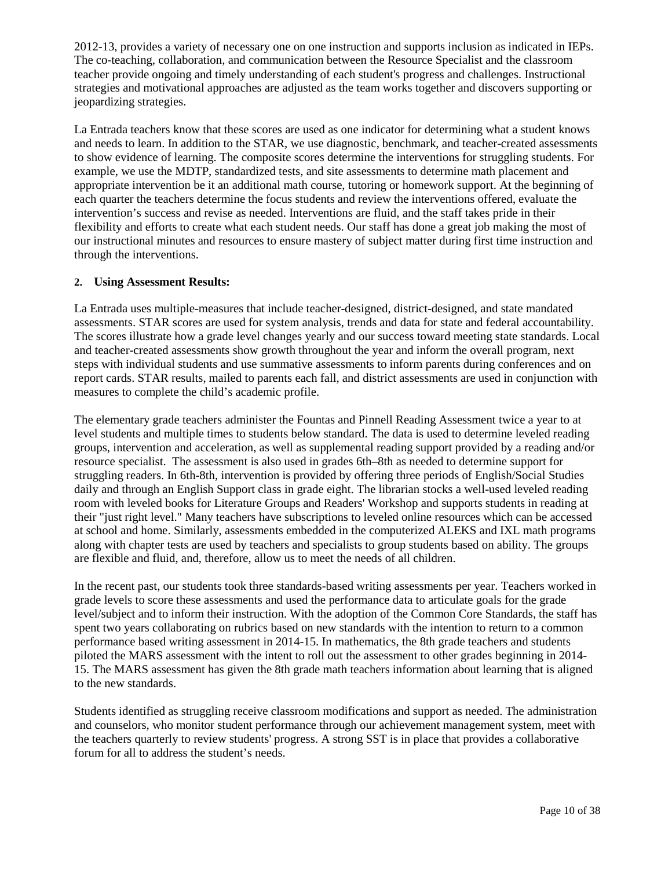2012-13, provides a variety of necessary one on one instruction and supports inclusion as indicated in IEPs. The co-teaching, collaboration, and communication between the Resource Specialist and the classroom teacher provide ongoing and timely understanding of each student's progress and challenges. Instructional strategies and motivational approaches are adjusted as the team works together and discovers supporting or jeopardizing strategies.

La Entrada teachers know that these scores are used as one indicator for determining what a student knows and needs to learn. In addition to the STAR, we use diagnostic, benchmark, and teacher-created assessments to show evidence of learning. The composite scores determine the interventions for struggling students. For example, we use the MDTP, standardized tests, and site assessments to determine math placement and appropriate intervention be it an additional math course, tutoring or homework support. At the beginning of each quarter the teachers determine the focus students and review the interventions offered, evaluate the intervention's success and revise as needed. Interventions are fluid, and the staff takes pride in their flexibility and efforts to create what each student needs. Our staff has done a great job making the most of our instructional minutes and resources to ensure mastery of subject matter during first time instruction and through the interventions.

#### **2. Using Assessment Results:**

La Entrada uses multiple-measures that include teacher-designed, district-designed, and state mandated assessments. STAR scores are used for system analysis, trends and data for state and federal accountability. The scores illustrate how a grade level changes yearly and our success toward meeting state standards. Local and teacher-created assessments show growth throughout the year and inform the overall program, next steps with individual students and use summative assessments to inform parents during conferences and on report cards. STAR results, mailed to parents each fall, and district assessments are used in conjunction with measures to complete the child's academic profile.

The elementary grade teachers administer the Fountas and Pinnell Reading Assessment twice a year to at level students and multiple times to students below standard. The data is used to determine leveled reading groups, intervention and acceleration, as well as supplemental reading support provided by a reading and/or resource specialist. The assessment is also used in grades 6th–8th as needed to determine support for struggling readers. In 6th-8th, intervention is provided by offering three periods of English/Social Studies daily and through an English Support class in grade eight. The librarian stocks a well-used leveled reading room with leveled books for Literature Groups and Readers' Workshop and supports students in reading at their "just right level." Many teachers have subscriptions to leveled online resources which can be accessed at school and home. Similarly, assessments embedded in the computerized ALEKS and IXL math programs along with chapter tests are used by teachers and specialists to group students based on ability. The groups are flexible and fluid, and, therefore, allow us to meet the needs of all children.

In the recent past, our students took three standards-based writing assessments per year. Teachers worked in grade levels to score these assessments and used the performance data to articulate goals for the grade level/subject and to inform their instruction. With the adoption of the Common Core Standards, the staff has spent two years collaborating on rubrics based on new standards with the intention to return to a common performance based writing assessment in 2014-15. In mathematics, the 8th grade teachers and students piloted the MARS assessment with the intent to roll out the assessment to other grades beginning in 2014- 15. The MARS assessment has given the 8th grade math teachers information about learning that is aligned to the new standards.

Students identified as struggling receive classroom modifications and support as needed. The administration and counselors, who monitor student performance through our achievement management system, meet with the teachers quarterly to review students' progress. A strong SST is in place that provides a collaborative forum for all to address the student's needs.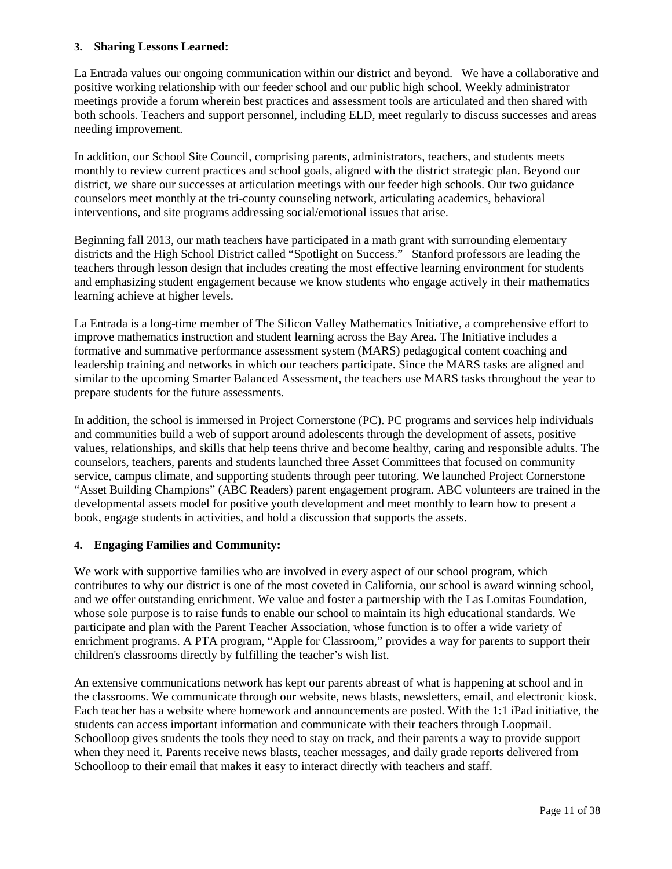#### **3. Sharing Lessons Learned:**

La Entrada values our ongoing communication within our district and beyond. We have a collaborative and positive working relationship with our feeder school and our public high school. Weekly administrator meetings provide a forum wherein best practices and assessment tools are articulated and then shared with both schools. Teachers and support personnel, including ELD, meet regularly to discuss successes and areas needing improvement.

In addition, our School Site Council, comprising parents, administrators, teachers, and students meets monthly to review current practices and school goals, aligned with the district strategic plan. Beyond our district, we share our successes at articulation meetings with our feeder high schools. Our two guidance counselors meet monthly at the tri-county counseling network, articulating academics, behavioral interventions, and site programs addressing social/emotional issues that arise.

Beginning fall 2013, our math teachers have participated in a math grant with surrounding elementary districts and the High School District called "Spotlight on Success." Stanford professors are leading the teachers through lesson design that includes creating the most effective learning environment for students and emphasizing student engagement because we know students who engage actively in their mathematics learning achieve at higher levels.

La Entrada is a long-time member of The Silicon Valley Mathematics Initiative, a comprehensive effort to improve mathematics instruction and student learning across the Bay Area. The Initiative includes a formative and summative performance assessment system (MARS) pedagogical content coaching and leadership training and networks in which our teachers participate. Since the MARS tasks are aligned and similar to the upcoming Smarter Balanced Assessment, the teachers use MARS tasks throughout the year to prepare students for the future assessments.

In addition, the school is immersed in Project Cornerstone (PC). PC programs and services help individuals and communities build a web of support around adolescents through the development of assets, positive values, relationships, and skills that help teens thrive and become healthy, caring and responsible adults. The counselors, teachers, parents and students launched three Asset Committees that focused on community service, campus climate, and supporting students through peer tutoring. We launched Project Cornerstone "Asset Building Champions" (ABC Readers) parent engagement program. ABC volunteers are trained in the developmental assets model for positive youth development and meet monthly to learn how to present a book, engage students in activities, and hold a discussion that supports the assets.

#### **4. Engaging Families and Community:**

We work with supportive families who are involved in every aspect of our school program, which contributes to why our district is one of the most coveted in California, our school is award winning school, and we offer outstanding enrichment. We value and foster a partnership with the Las Lomitas Foundation, whose sole purpose is to raise funds to enable our school to maintain its high educational standards. We participate and plan with the Parent Teacher Association, whose function is to offer a wide variety of enrichment programs. A PTA program, "Apple for Classroom," provides a way for parents to support their children's classrooms directly by fulfilling the teacher's wish list.

An extensive communications network has kept our parents abreast of what is happening at school and in the classrooms. We communicate through our website, news blasts, newsletters, email, and electronic kiosk. Each teacher has a website where homework and announcements are posted. With the 1:1 iPad initiative, the students can access important information and communicate with their teachers through Loopmail. Schoolloop gives students the tools they need to stay on track, and their parents a way to provide support when they need it. Parents receive news blasts, teacher messages, and daily grade reports delivered from Schoolloop to their email that makes it easy to interact directly with teachers and staff.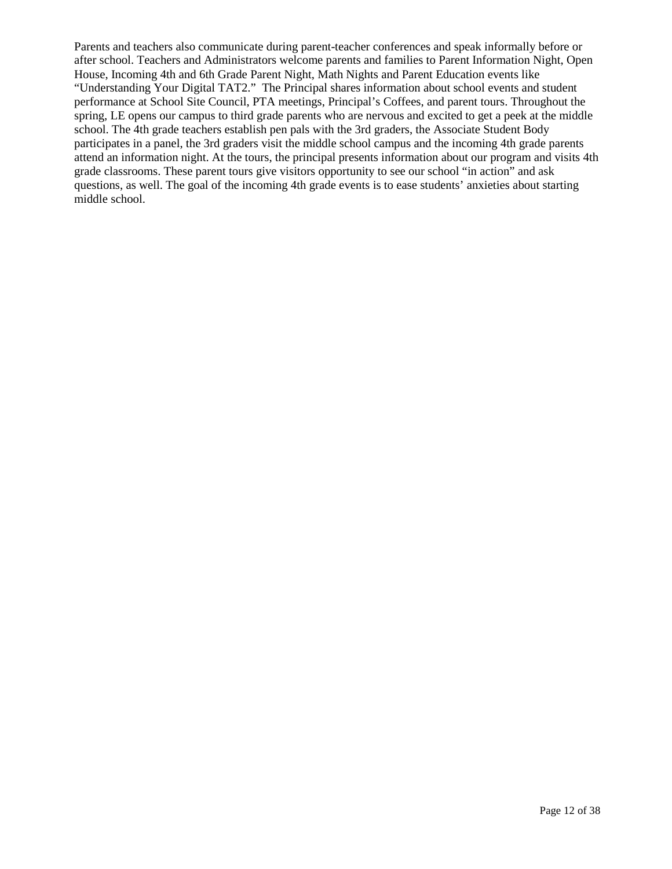Parents and teachers also communicate during parent-teacher conferences and speak informally before or after school. Teachers and Administrators welcome parents and families to Parent Information Night, Open House, Incoming 4th and 6th Grade Parent Night, Math Nights and Parent Education events like "Understanding Your Digital TAT2." The Principal shares information about school events and student performance at School Site Council, PTA meetings, Principal's Coffees, and parent tours. Throughout the spring, LE opens our campus to third grade parents who are nervous and excited to get a peek at the middle school. The 4th grade teachers establish pen pals with the 3rd graders, the Associate Student Body participates in a panel, the 3rd graders visit the middle school campus and the incoming 4th grade parents attend an information night. At the tours, the principal presents information about our program and visits 4th grade classrooms. These parent tours give visitors opportunity to see our school "in action" and ask questions, as well. The goal of the incoming 4th grade events is to ease students' anxieties about starting middle school.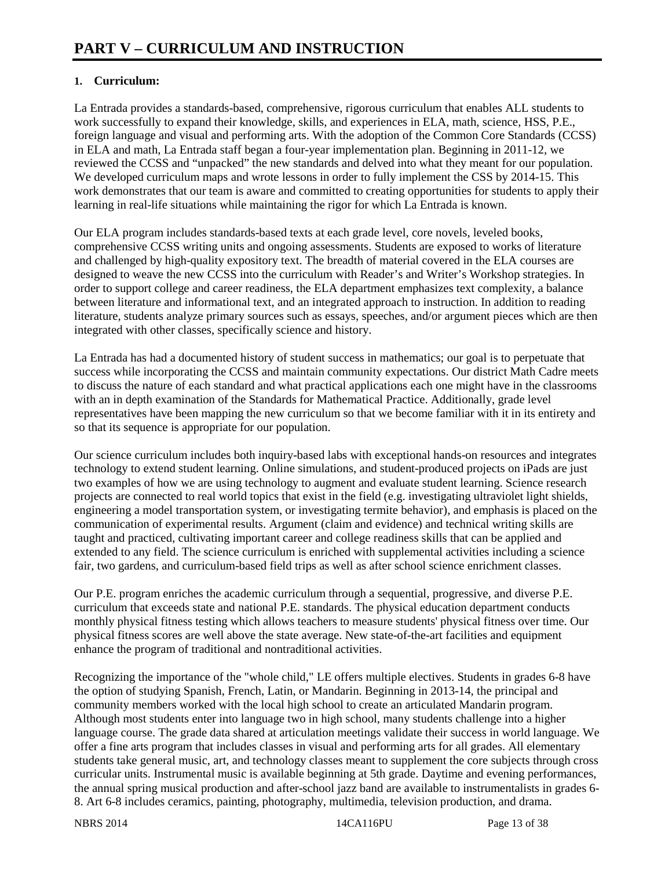# **1. Curriculum:**

La Entrada provides a standards-based, comprehensive, rigorous curriculum that enables ALL students to work successfully to expand their knowledge, skills, and experiences in ELA, math, science, HSS, P.E., foreign language and visual and performing arts. With the adoption of the Common Core Standards (CCSS) in ELA and math, La Entrada staff began a four-year implementation plan. Beginning in 2011-12, we reviewed the CCSS and "unpacked" the new standards and delved into what they meant for our population. We developed curriculum maps and wrote lessons in order to fully implement the CSS by 2014-15. This work demonstrates that our team is aware and committed to creating opportunities for students to apply their learning in real-life situations while maintaining the rigor for which La Entrada is known.

Our ELA program includes standards-based texts at each grade level, core novels, leveled books, comprehensive CCSS writing units and ongoing assessments. Students are exposed to works of literature and challenged by high-quality expository text. The breadth of material covered in the ELA courses are designed to weave the new CCSS into the curriculum with Reader's and Writer's Workshop strategies. In order to support college and career readiness, the ELA department emphasizes text complexity, a balance between literature and informational text, and an integrated approach to instruction. In addition to reading literature, students analyze primary sources such as essays, speeches, and/or argument pieces which are then integrated with other classes, specifically science and history.

La Entrada has had a documented history of student success in mathematics; our goal is to perpetuate that success while incorporating the CCSS and maintain community expectations. Our district Math Cadre meets to discuss the nature of each standard and what practical applications each one might have in the classrooms with an in depth examination of the Standards for Mathematical Practice. Additionally, grade level representatives have been mapping the new curriculum so that we become familiar with it in its entirety and so that its sequence is appropriate for our population.

Our science curriculum includes both inquiry-based labs with exceptional hands-on resources and integrates technology to extend student learning. Online simulations, and student-produced projects on iPads are just two examples of how we are using technology to augment and evaluate student learning. Science research projects are connected to real world topics that exist in the field (e.g. investigating ultraviolet light shields, engineering a model transportation system, or investigating termite behavior), and emphasis is placed on the communication of experimental results. Argument (claim and evidence) and technical writing skills are taught and practiced, cultivating important career and college readiness skills that can be applied and extended to any field. The science curriculum is enriched with supplemental activities including a science fair, two gardens, and curriculum-based field trips as well as after school science enrichment classes.

Our P.E. program enriches the academic curriculum through a sequential, progressive, and diverse P.E. curriculum that exceeds state and national P.E. standards. The physical education department conducts monthly physical fitness testing which allows teachers to measure students' physical fitness over time. Our physical fitness scores are well above the state average. New state-of-the-art facilities and equipment enhance the program of traditional and nontraditional activities.

Recognizing the importance of the "whole child," LE offers multiple electives. Students in grades 6-8 have the option of studying Spanish, French, Latin, or Mandarin. Beginning in 2013-14, the principal and community members worked with the local high school to create an articulated Mandarin program. Although most students enter into language two in high school, many students challenge into a higher language course. The grade data shared at articulation meetings validate their success in world language. We offer a fine arts program that includes classes in visual and performing arts for all grades. All elementary students take general music, art, and technology classes meant to supplement the core subjects through cross curricular units. Instrumental music is available beginning at 5th grade. Daytime and evening performances, the annual spring musical production and after-school jazz band are available to instrumentalists in grades 6- 8. Art 6-8 includes ceramics, painting, photography, multimedia, television production, and drama.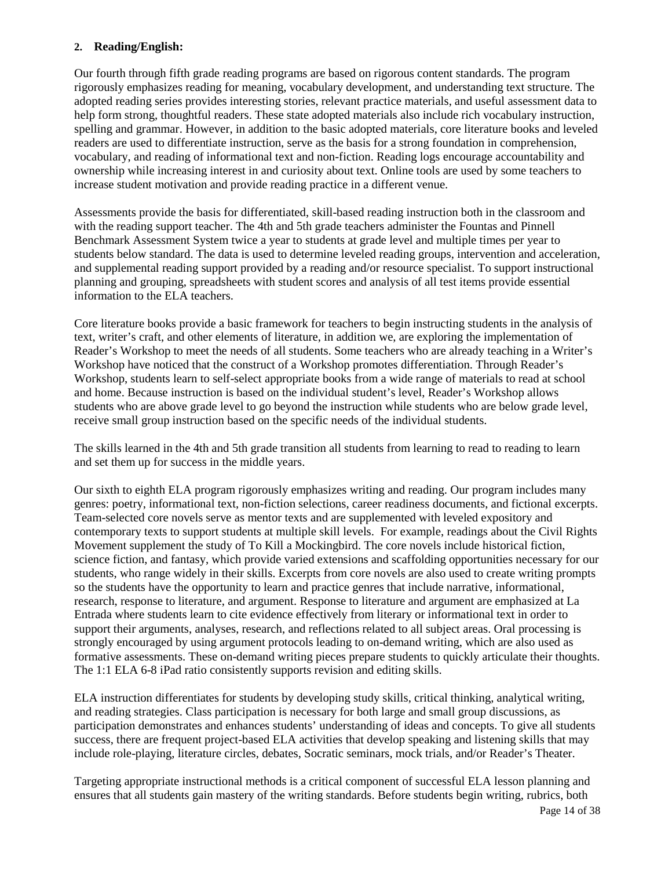#### **2. Reading/English:**

Our fourth through fifth grade reading programs are based on rigorous content standards. The program rigorously emphasizes reading for meaning, vocabulary development, and understanding text structure. The adopted reading series provides interesting stories, relevant practice materials, and useful assessment data to help form strong, thoughtful readers. These state adopted materials also include rich vocabulary instruction, spelling and grammar. However, in addition to the basic adopted materials, core literature books and leveled readers are used to differentiate instruction, serve as the basis for a strong foundation in comprehension, vocabulary, and reading of informational text and non-fiction. Reading logs encourage accountability and ownership while increasing interest in and curiosity about text. Online tools are used by some teachers to increase student motivation and provide reading practice in a different venue.

Assessments provide the basis for differentiated, skill-based reading instruction both in the classroom and with the reading support teacher. The 4th and 5th grade teachers administer the Fountas and Pinnell Benchmark Assessment System twice a year to students at grade level and multiple times per year to students below standard. The data is used to determine leveled reading groups, intervention and acceleration, and supplemental reading support provided by a reading and/or resource specialist. To support instructional planning and grouping, spreadsheets with student scores and analysis of all test items provide essential information to the ELA teachers.

Core literature books provide a basic framework for teachers to begin instructing students in the analysis of text, writer's craft, and other elements of literature, in addition we, are exploring the implementation of Reader's Workshop to meet the needs of all students. Some teachers who are already teaching in a Writer's Workshop have noticed that the construct of a Workshop promotes differentiation. Through Reader's Workshop, students learn to self-select appropriate books from a wide range of materials to read at school and home. Because instruction is based on the individual student's level, Reader's Workshop allows students who are above grade level to go beyond the instruction while students who are below grade level, receive small group instruction based on the specific needs of the individual students.

The skills learned in the 4th and 5th grade transition all students from learning to read to reading to learn and set them up for success in the middle years.

Our sixth to eighth ELA program rigorously emphasizes writing and reading. Our program includes many genres: poetry, informational text, non-fiction selections, career readiness documents, and fictional excerpts. Team-selected core novels serve as mentor texts and are supplemented with leveled expository and contemporary texts to support students at multiple skill levels. For example, readings about the Civil Rights Movement supplement the study of To Kill a Mockingbird. The core novels include historical fiction, science fiction, and fantasy, which provide varied extensions and scaffolding opportunities necessary for our students, who range widely in their skills. Excerpts from core novels are also used to create writing prompts so the students have the opportunity to learn and practice genres that include narrative, informational, research, response to literature, and argument. Response to literature and argument are emphasized at La Entrada where students learn to cite evidence effectively from literary or informational text in order to support their arguments, analyses, research, and reflections related to all subject areas. Oral processing is strongly encouraged by using argument protocols leading to on-demand writing, which are also used as formative assessments. These on-demand writing pieces prepare students to quickly articulate their thoughts. The 1:1 ELA 6-8 iPad ratio consistently supports revision and editing skills.

ELA instruction differentiates for students by developing study skills, critical thinking, analytical writing, and reading strategies. Class participation is necessary for both large and small group discussions, as participation demonstrates and enhances students' understanding of ideas and concepts. To give all students success, there are frequent project-based ELA activities that develop speaking and listening skills that may include role-playing, literature circles, debates, Socratic seminars, mock trials, and/or Reader's Theater.

Targeting appropriate instructional methods is a critical component of successful ELA lesson planning and ensures that all students gain mastery of the writing standards. Before students begin writing, rubrics, both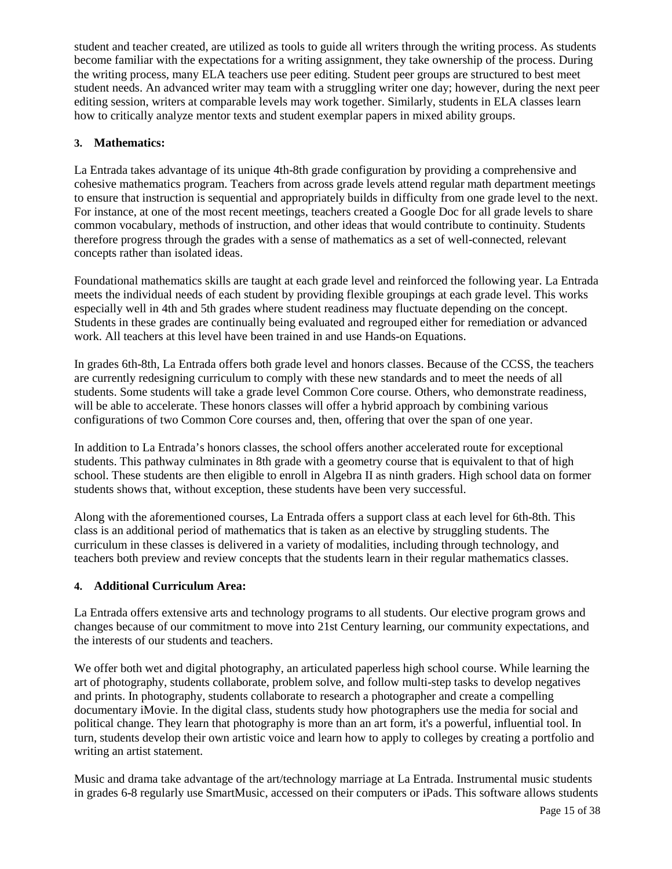student and teacher created, are utilized as tools to guide all writers through the writing process. As students become familiar with the expectations for a writing assignment, they take ownership of the process. During the writing process, many ELA teachers use peer editing. Student peer groups are structured to best meet student needs. An advanced writer may team with a struggling writer one day; however, during the next peer editing session, writers at comparable levels may work together. Similarly, students in ELA classes learn how to critically analyze mentor texts and student exemplar papers in mixed ability groups.

#### **3. Mathematics:**

La Entrada takes advantage of its unique 4th-8th grade configuration by providing a comprehensive and cohesive mathematics program. Teachers from across grade levels attend regular math department meetings to ensure that instruction is sequential and appropriately builds in difficulty from one grade level to the next. For instance, at one of the most recent meetings, teachers created a Google Doc for all grade levels to share common vocabulary, methods of instruction, and other ideas that would contribute to continuity. Students therefore progress through the grades with a sense of mathematics as a set of well-connected, relevant concepts rather than isolated ideas.

Foundational mathematics skills are taught at each grade level and reinforced the following year. La Entrada meets the individual needs of each student by providing flexible groupings at each grade level. This works especially well in 4th and 5th grades where student readiness may fluctuate depending on the concept. Students in these grades are continually being evaluated and regrouped either for remediation or advanced work. All teachers at this level have been trained in and use Hands-on Equations.

In grades 6th-8th, La Entrada offers both grade level and honors classes. Because of the CCSS, the teachers are currently redesigning curriculum to comply with these new standards and to meet the needs of all students. Some students will take a grade level Common Core course. Others, who demonstrate readiness, will be able to accelerate. These honors classes will offer a hybrid approach by combining various configurations of two Common Core courses and, then, offering that over the span of one year.

In addition to La Entrada's honors classes, the school offers another accelerated route for exceptional students. This pathway culminates in 8th grade with a geometry course that is equivalent to that of high school. These students are then eligible to enroll in Algebra II as ninth graders. High school data on former students shows that, without exception, these students have been very successful.

Along with the aforementioned courses, La Entrada offers a support class at each level for 6th-8th. This class is an additional period of mathematics that is taken as an elective by struggling students. The curriculum in these classes is delivered in a variety of modalities, including through technology, and teachers both preview and review concepts that the students learn in their regular mathematics classes.

### **4. Additional Curriculum Area:**

La Entrada offers extensive arts and technology programs to all students. Our elective program grows and changes because of our commitment to move into 21st Century learning, our community expectations, and the interests of our students and teachers.

We offer both wet and digital photography, an articulated paperless high school course. While learning the art of photography, students collaborate, problem solve, and follow multi-step tasks to develop negatives and prints. In photography, students collaborate to research a photographer and create a compelling documentary iMovie. In the digital class, students study how photographers use the media for social and political change. They learn that photography is more than an art form, it's a powerful, influential tool. In turn, students develop their own artistic voice and learn how to apply to colleges by creating a portfolio and writing an artist statement.

Music and drama take advantage of the art/technology marriage at La Entrada. Instrumental music students in grades 6-8 regularly use SmartMusic, accessed on their computers or iPads. This software allows students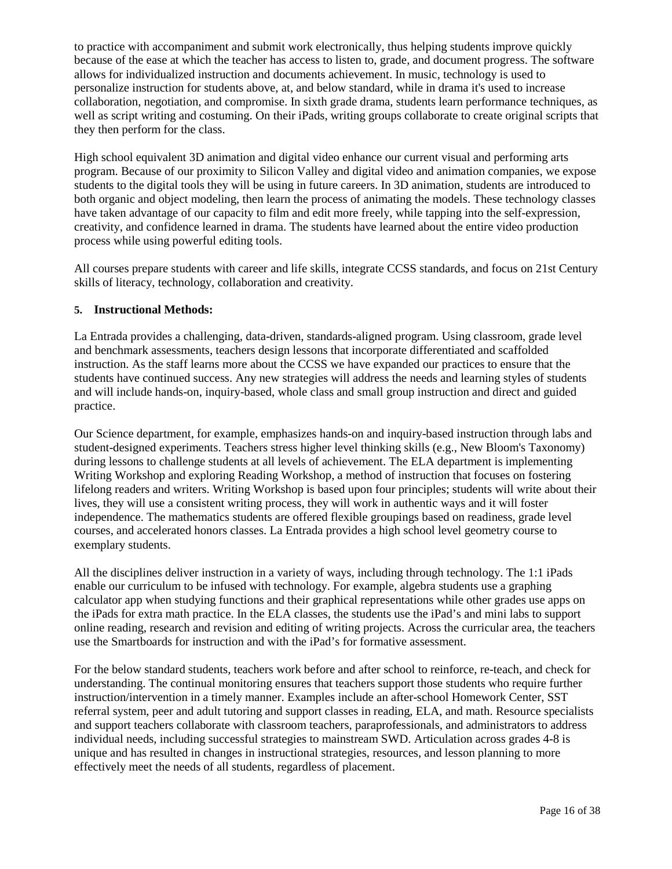to practice with accompaniment and submit work electronically, thus helping students improve quickly because of the ease at which the teacher has access to listen to, grade, and document progress. The software allows for individualized instruction and documents achievement. In music, technology is used to personalize instruction for students above, at, and below standard, while in drama it's used to increase collaboration, negotiation, and compromise. In sixth grade drama, students learn performance techniques, as well as script writing and costuming. On their iPads, writing groups collaborate to create original scripts that they then perform for the class.

High school equivalent 3D animation and digital video enhance our current visual and performing arts program. Because of our proximity to Silicon Valley and digital video and animation companies, we expose students to the digital tools they will be using in future careers. In 3D animation, students are introduced to both organic and object modeling, then learn the process of animating the models. These technology classes have taken advantage of our capacity to film and edit more freely, while tapping into the self-expression, creativity, and confidence learned in drama. The students have learned about the entire video production process while using powerful editing tools.

All courses prepare students with career and life skills, integrate CCSS standards, and focus on 21st Century skills of literacy, technology, collaboration and creativity.

#### **5. Instructional Methods:**

La Entrada provides a challenging, data-driven, standards-aligned program. Using classroom, grade level and benchmark assessments, teachers design lessons that incorporate differentiated and scaffolded instruction. As the staff learns more about the CCSS we have expanded our practices to ensure that the students have continued success. Any new strategies will address the needs and learning styles of students and will include hands-on, inquiry-based, whole class and small group instruction and direct and guided practice.

Our Science department, for example, emphasizes hands-on and inquiry-based instruction through labs and student-designed experiments. Teachers stress higher level thinking skills (e.g., New Bloom's Taxonomy) during lessons to challenge students at all levels of achievement. The ELA department is implementing Writing Workshop and exploring Reading Workshop, a method of instruction that focuses on fostering lifelong readers and writers. Writing Workshop is based upon four principles; students will write about their lives, they will use a consistent writing process, they will work in authentic ways and it will foster independence. The mathematics students are offered flexible groupings based on readiness, grade level courses, and accelerated honors classes. La Entrada provides a high school level geometry course to exemplary students.

All the disciplines deliver instruction in a variety of ways, including through technology. The 1:1 iPads enable our curriculum to be infused with technology. For example, algebra students use a graphing calculator app when studying functions and their graphical representations while other grades use apps on the iPads for extra math practice. In the ELA classes, the students use the iPad's and mini labs to support online reading, research and revision and editing of writing projects. Across the curricular area, the teachers use the Smartboards for instruction and with the iPad's for formative assessment.

For the below standard students, teachers work before and after school to reinforce, re-teach, and check for understanding. The continual monitoring ensures that teachers support those students who require further instruction/intervention in a timely manner. Examples include an after-school Homework Center, SST referral system, peer and adult tutoring and support classes in reading, ELA, and math. Resource specialists and support teachers collaborate with classroom teachers, paraprofessionals, and administrators to address individual needs, including successful strategies to mainstream SWD. Articulation across grades 4-8 is unique and has resulted in changes in instructional strategies, resources, and lesson planning to more effectively meet the needs of all students, regardless of placement.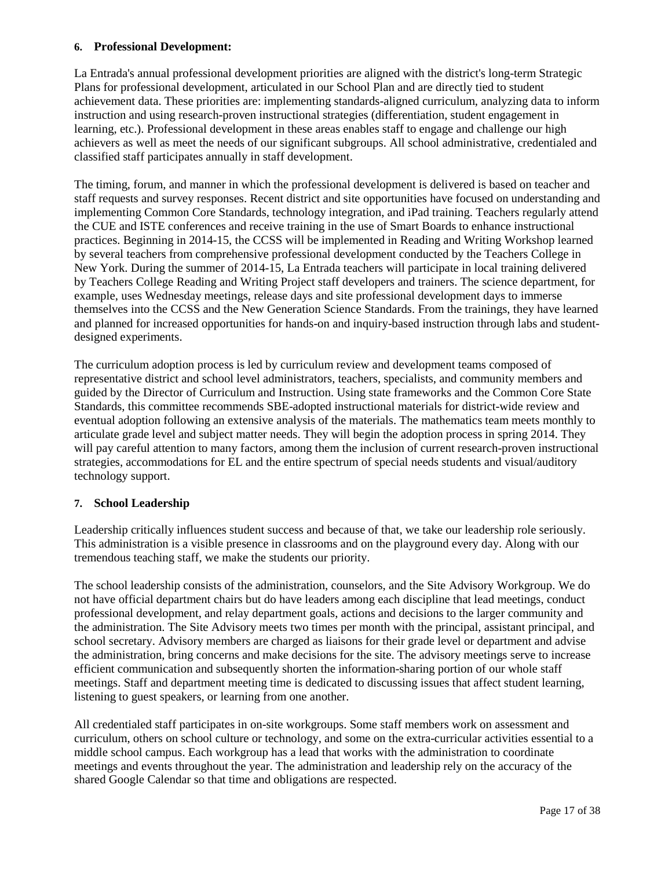#### **6. Professional Development:**

La Entrada's annual professional development priorities are aligned with the district's long-term Strategic Plans for professional development, articulated in our School Plan and are directly tied to student achievement data. These priorities are: implementing standards-aligned curriculum, analyzing data to inform instruction and using research-proven instructional strategies (differentiation, student engagement in learning, etc.). Professional development in these areas enables staff to engage and challenge our high achievers as well as meet the needs of our significant subgroups. All school administrative, credentialed and classified staff participates annually in staff development.

The timing, forum, and manner in which the professional development is delivered is based on teacher and staff requests and survey responses. Recent district and site opportunities have focused on understanding and implementing Common Core Standards, technology integration, and iPad training. Teachers regularly attend the CUE and ISTE conferences and receive training in the use of Smart Boards to enhance instructional practices. Beginning in 2014-15, the CCSS will be implemented in Reading and Writing Workshop learned by several teachers from comprehensive professional development conducted by the Teachers College in New York. During the summer of 2014-15, La Entrada teachers will participate in local training delivered by Teachers College Reading and Writing Project staff developers and trainers. The science department, for example, uses Wednesday meetings, release days and site professional development days to immerse themselves into the CCSS and the New Generation Science Standards. From the trainings, they have learned and planned for increased opportunities for hands-on and inquiry-based instruction through labs and studentdesigned experiments.

The curriculum adoption process is led by curriculum review and development teams composed of representative district and school level administrators, teachers, specialists, and community members and guided by the Director of Curriculum and Instruction. Using state frameworks and the Common Core State Standards, this committee recommends SBE-adopted instructional materials for district-wide review and eventual adoption following an extensive analysis of the materials. The mathematics team meets monthly to articulate grade level and subject matter needs. They will begin the adoption process in spring 2014. They will pay careful attention to many factors, among them the inclusion of current research-proven instructional strategies, accommodations for EL and the entire spectrum of special needs students and visual/auditory technology support.

#### **7. School Leadership**

Leadership critically influences student success and because of that, we take our leadership role seriously. This administration is a visible presence in classrooms and on the playground every day. Along with our tremendous teaching staff, we make the students our priority.

The school leadership consists of the administration, counselors, and the Site Advisory Workgroup. We do not have official department chairs but do have leaders among each discipline that lead meetings, conduct professional development, and relay department goals, actions and decisions to the larger community and the administration. The Site Advisory meets two times per month with the principal, assistant principal, and school secretary. Advisory members are charged as liaisons for their grade level or department and advise the administration, bring concerns and make decisions for the site. The advisory meetings serve to increase efficient communication and subsequently shorten the information-sharing portion of our whole staff meetings. Staff and department meeting time is dedicated to discussing issues that affect student learning, listening to guest speakers, or learning from one another.

All credentialed staff participates in on-site workgroups. Some staff members work on assessment and curriculum, others on school culture or technology, and some on the extra-curricular activities essential to a middle school campus. Each workgroup has a lead that works with the administration to coordinate meetings and events throughout the year. The administration and leadership rely on the accuracy of the shared Google Calendar so that time and obligations are respected.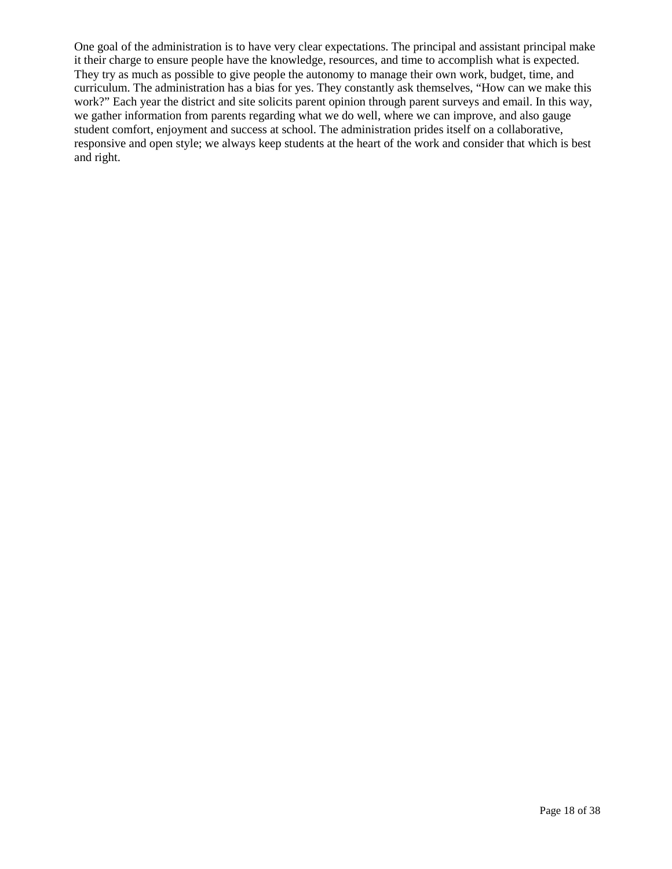One goal of the administration is to have very clear expectations. The principal and assistant principal make it their charge to ensure people have the knowledge, resources, and time to accomplish what is expected. They try as much as possible to give people the autonomy to manage their own work, budget, time, and curriculum. The administration has a bias for yes. They constantly ask themselves, "How can we make this work?" Each year the district and site solicits parent opinion through parent surveys and email. In this way, we gather information from parents regarding what we do well, where we can improve, and also gauge student comfort, enjoyment and success at school. The administration prides itself on a collaborative, responsive and open style; we always keep students at the heart of the work and consider that which is best and right.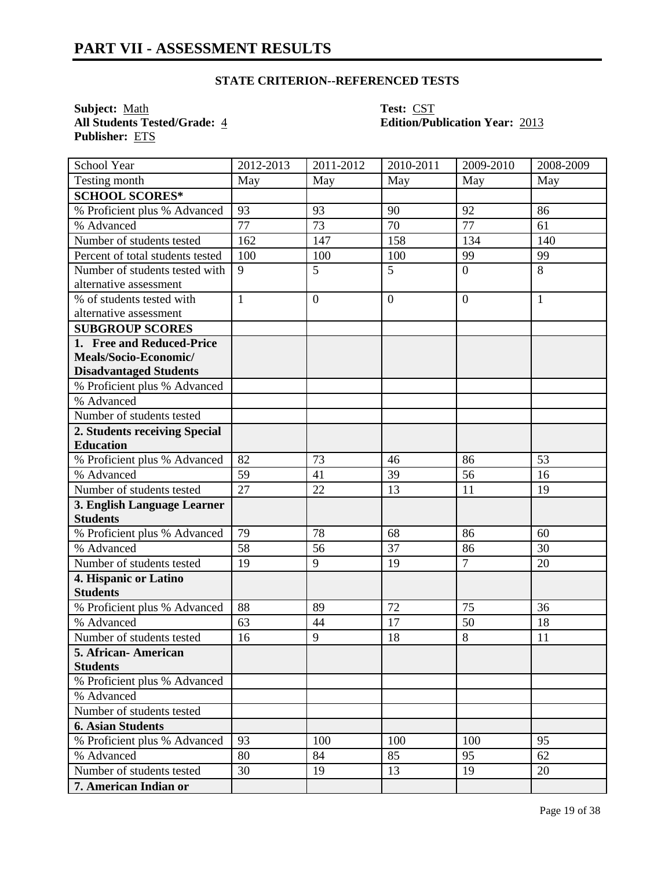**Subject:** <u>Math</u> **Test:** CST<br> **All Students Tested/Grade:** 4 **Constant Edition/Pu Publisher:** ETS

**All Students Tested/Grade:** 4 **Edition/Publication Year:** 2013

| School Year                      | 2012-2013    | $2011 - 2012$ | 2010-2011      | 2009-2010       | 2008-2009    |
|----------------------------------|--------------|---------------|----------------|-----------------|--------------|
| Testing month                    | May          | May           | May            | May             | May          |
| <b>SCHOOL SCORES*</b>            |              |               |                |                 |              |
| % Proficient plus % Advanced     | 93           | 93            | 90             | 92              | 86           |
| % Advanced                       | 77           | 73            | 70             | $\overline{77}$ | 61           |
| Number of students tested        | 162          | 147           | 158            | 134             | 140          |
| Percent of total students tested | 100          | 100           | 100            | 99              | 99           |
| Number of students tested with   | 9            | 5             | 5              | $\overline{0}$  | 8            |
| alternative assessment           |              |               |                |                 |              |
| % of students tested with        | $\mathbf{1}$ | $\mathbf{0}$  | $\overline{0}$ | $\overline{0}$  | $\mathbf{1}$ |
| alternative assessment           |              |               |                |                 |              |
| <b>SUBGROUP SCORES</b>           |              |               |                |                 |              |
| 1. Free and Reduced-Price        |              |               |                |                 |              |
| Meals/Socio-Economic/            |              |               |                |                 |              |
| <b>Disadvantaged Students</b>    |              |               |                |                 |              |
| % Proficient plus % Advanced     |              |               |                |                 |              |
| % Advanced                       |              |               |                |                 |              |
| Number of students tested        |              |               |                |                 |              |
| 2. Students receiving Special    |              |               |                |                 |              |
| <b>Education</b>                 |              |               |                |                 |              |
| % Proficient plus % Advanced     | 82           | 73            | 46             | 86              | 53           |
| % Advanced                       | 59           | 41            | 39             | 56              | 16           |
| Number of students tested        | 27           | 22            | 13             | 11              | 19           |
| 3. English Language Learner      |              |               |                |                 |              |
| <b>Students</b>                  |              |               |                |                 |              |
| % Proficient plus % Advanced     | 79           | 78            | 68             | 86              | 60           |
| % Advanced                       | 58           | 56            | 37             | 86              | 30           |
| Number of students tested        | 19           | 9             | 19             | $\overline{7}$  | 20           |
| 4. Hispanic or Latino            |              |               |                |                 |              |
| <b>Students</b>                  |              |               |                |                 |              |
| % Proficient plus % Advanced     | 88           | 89            | 72             | 75              | 36           |
| % Advanced                       | 63           | 44            | 17             | 50              | 18           |
| Number of students tested        | 16           | 9             | 18             | 8               | 11           |
| 5. African-American              |              |               |                |                 |              |
| <b>Students</b>                  |              |               |                |                 |              |
| % Proficient plus % Advanced     |              |               |                |                 |              |
| % Advanced                       |              |               |                |                 |              |
| Number of students tested        |              |               |                |                 |              |
| <b>6. Asian Students</b>         |              |               |                |                 |              |
| % Proficient plus % Advanced     | 93           | 100           | 100            | 100             | 95           |
| % Advanced                       | 80           | 84            | 85             | 95              | 62           |
| Number of students tested        | 30           | 19            | 13             | 19              | 20           |
| 7. American Indian or            |              |               |                |                 |              |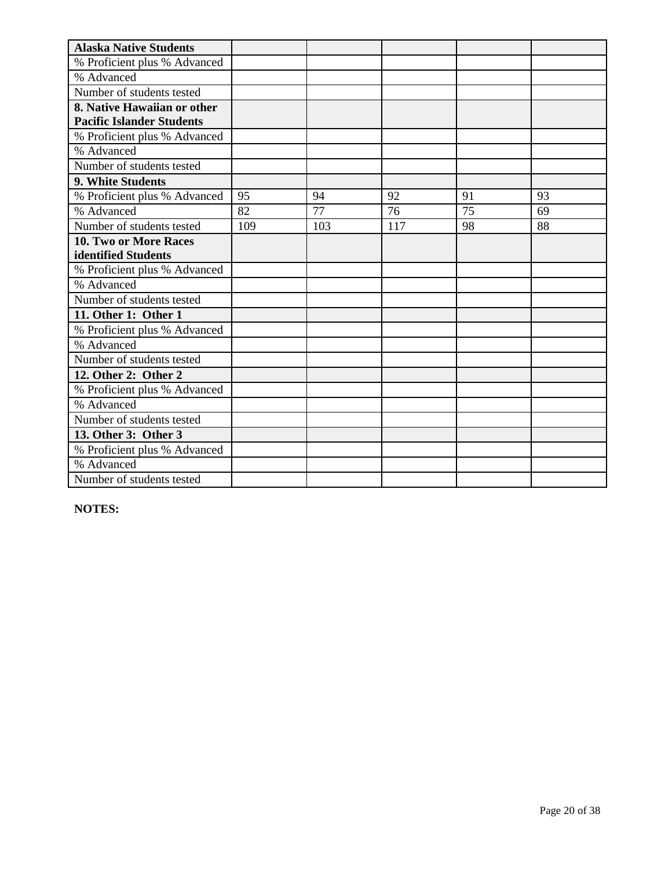| <b>Alaska Native Students</b>    |     |     |     |    |    |
|----------------------------------|-----|-----|-----|----|----|
| % Proficient plus % Advanced     |     |     |     |    |    |
| % Advanced                       |     |     |     |    |    |
| Number of students tested        |     |     |     |    |    |
| 8. Native Hawaiian or other      |     |     |     |    |    |
| <b>Pacific Islander Students</b> |     |     |     |    |    |
| % Proficient plus % Advanced     |     |     |     |    |    |
| % Advanced                       |     |     |     |    |    |
| Number of students tested        |     |     |     |    |    |
| 9. White Students                |     |     |     |    |    |
| % Proficient plus % Advanced     | 95  | 94  | 92  | 91 | 93 |
| % Advanced                       | 82  | 77  | 76  | 75 | 69 |
| Number of students tested        | 109 | 103 | 117 | 98 | 88 |
| 10. Two or More Races            |     |     |     |    |    |
| identified Students              |     |     |     |    |    |
| % Proficient plus % Advanced     |     |     |     |    |    |
| % Advanced                       |     |     |     |    |    |
| Number of students tested        |     |     |     |    |    |
| 11. Other 1: Other 1             |     |     |     |    |    |
| % Proficient plus % Advanced     |     |     |     |    |    |
| % Advanced                       |     |     |     |    |    |
| Number of students tested        |     |     |     |    |    |
| 12. Other 2: Other 2             |     |     |     |    |    |
| % Proficient plus % Advanced     |     |     |     |    |    |
| % Advanced                       |     |     |     |    |    |
| Number of students tested        |     |     |     |    |    |
| 13. Other 3: Other 3             |     |     |     |    |    |
| % Proficient plus % Advanced     |     |     |     |    |    |
| % Advanced                       |     |     |     |    |    |
| Number of students tested        |     |     |     |    |    |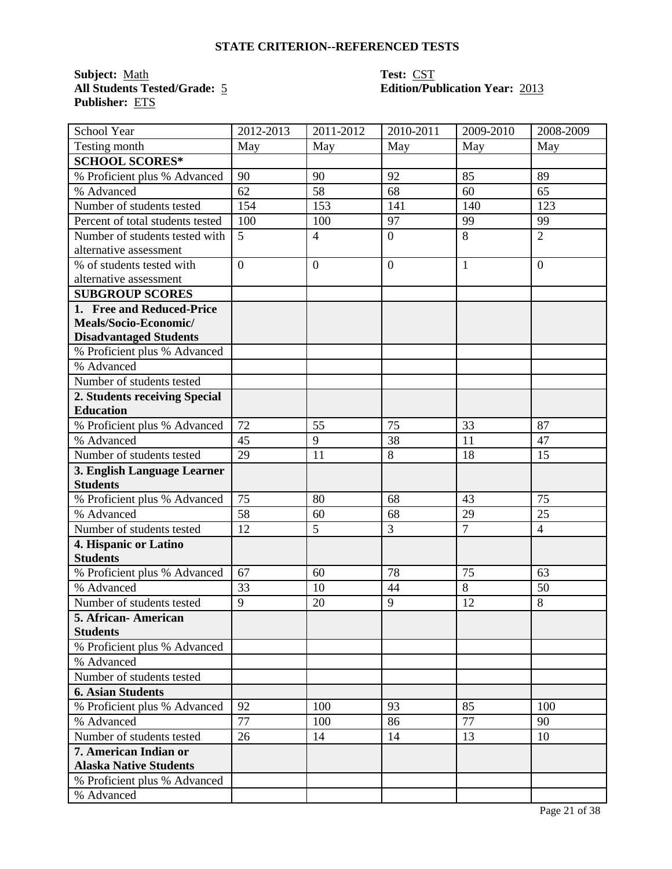**Subject:** <u>Math</u> **Test:** <u>CST</u><br> **All Students Tested/Grade:** 5 **CST**<br> **Edition/Pu Publisher:** ETS

# **Edition/Publication Year: 2013**

| School Year                      | 2012-2013      | 2011-2012      | 2010-2011      | 2009-2010      | 2008-2009      |
|----------------------------------|----------------|----------------|----------------|----------------|----------------|
| Testing month                    | May            | May            | May            | May            | May            |
| <b>SCHOOL SCORES*</b>            |                |                |                |                |                |
| % Proficient plus % Advanced     | 90             | 90             | 92             | 85             | 89             |
| % Advanced                       | 62             | 58             | 68             | 60             | 65             |
| Number of students tested        | 154            | 153            | 141            | 140            | 123            |
| Percent of total students tested | 100            | 100            | 97             | 99             | 99             |
| Number of students tested with   | 5              | $\overline{4}$ | $\mathbf{0}$   | 8              | $\overline{2}$ |
| alternative assessment           |                |                |                |                |                |
| % of students tested with        | $\overline{0}$ | $\overline{0}$ | $\overline{0}$ | $\mathbf{1}$   | $\overline{0}$ |
| alternative assessment           |                |                |                |                |                |
| <b>SUBGROUP SCORES</b>           |                |                |                |                |                |
| 1. Free and Reduced-Price        |                |                |                |                |                |
| Meals/Socio-Economic/            |                |                |                |                |                |
| <b>Disadvantaged Students</b>    |                |                |                |                |                |
| % Proficient plus % Advanced     |                |                |                |                |                |
| % Advanced                       |                |                |                |                |                |
| Number of students tested        |                |                |                |                |                |
| 2. Students receiving Special    |                |                |                |                |                |
| <b>Education</b>                 |                |                |                |                |                |
| % Proficient plus % Advanced     | 72             | 55             | 75             | 33             | 87             |
| % Advanced                       | 45             | 9              | 38             | 11             | 47             |
| Number of students tested        | 29             | 11             | 8              | 18             | 15             |
| 3. English Language Learner      |                |                |                |                |                |
| <b>Students</b>                  |                |                |                |                |                |
| % Proficient plus % Advanced     | 75             | 80             | 68             | 43             | 75             |
| % Advanced                       | 58             | 60             | 68             | 29             | 25             |
| Number of students tested        | 12             | 5              | 3              | $\overline{7}$ | $\overline{4}$ |
| 4. Hispanic or Latino            |                |                |                |                |                |
| <b>Students</b>                  |                |                |                |                |                |
| % Proficient plus % Advanced     | 67             | 60             | 78             | 75             | 63             |
| % Advanced                       | 33             | 10             | 44             | 8              | 50             |
| Number of students tested        | $\overline{9}$ | 20             | 9              | 12             | 8              |
| 5. African- American             |                |                |                |                |                |
| <b>Students</b>                  |                |                |                |                |                |
| % Proficient plus % Advanced     |                |                |                |                |                |
| % Advanced                       |                |                |                |                |                |
| Number of students tested        |                |                |                |                |                |
| <b>6. Asian Students</b>         |                |                |                |                |                |
| % Proficient plus % Advanced     | 92             | 100            | 93             | 85             | 100            |
| % Advanced                       | 77             | 100            | 86             | 77             | 90             |
| Number of students tested        | 26             | 14             | 14             | 13             | 10             |
| 7. American Indian or            |                |                |                |                |                |
| <b>Alaska Native Students</b>    |                |                |                |                |                |
| % Proficient plus % Advanced     |                |                |                |                |                |
| % Advanced                       |                |                |                |                |                |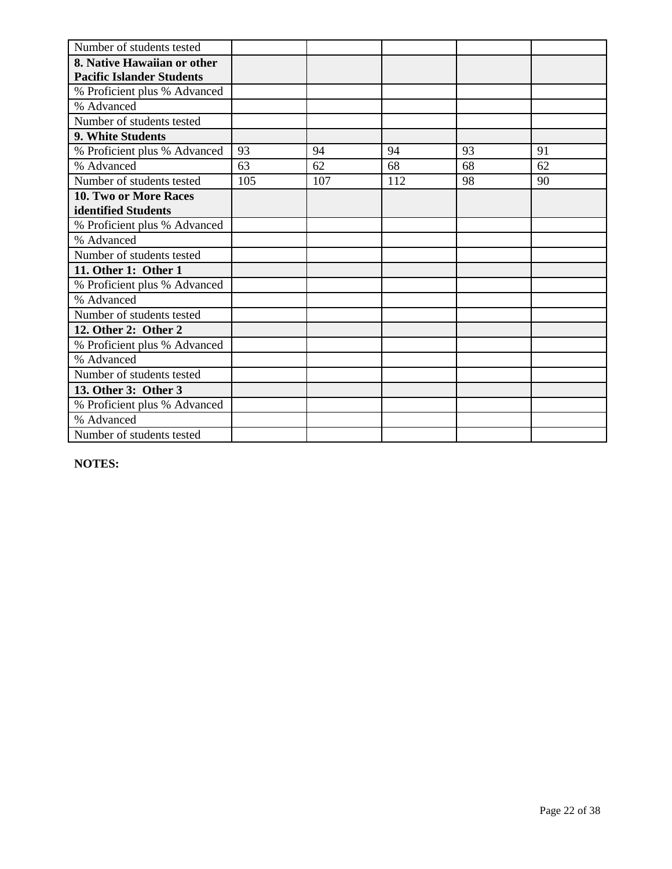| Number of students tested        |     |     |     |    |    |
|----------------------------------|-----|-----|-----|----|----|
| 8. Native Hawaiian or other      |     |     |     |    |    |
| <b>Pacific Islander Students</b> |     |     |     |    |    |
| % Proficient plus % Advanced     |     |     |     |    |    |
| % Advanced                       |     |     |     |    |    |
| Number of students tested        |     |     |     |    |    |
| 9. White Students                |     |     |     |    |    |
| % Proficient plus % Advanced     | 93  | 94  | 94  | 93 | 91 |
| % Advanced                       | 63  | 62  | 68  | 68 | 62 |
| Number of students tested        | 105 | 107 | 112 | 98 | 90 |
| 10. Two or More Races            |     |     |     |    |    |
| identified Students              |     |     |     |    |    |
| % Proficient plus % Advanced     |     |     |     |    |    |
| % Advanced                       |     |     |     |    |    |
| Number of students tested        |     |     |     |    |    |
| 11. Other 1: Other 1             |     |     |     |    |    |
| % Proficient plus % Advanced     |     |     |     |    |    |
| % Advanced                       |     |     |     |    |    |
| Number of students tested        |     |     |     |    |    |
| 12. Other 2: Other 2             |     |     |     |    |    |
| % Proficient plus % Advanced     |     |     |     |    |    |
| % Advanced                       |     |     |     |    |    |
| Number of students tested        |     |     |     |    |    |
| 13. Other 3: Other 3             |     |     |     |    |    |
| % Proficient plus % Advanced     |     |     |     |    |    |
| % Advanced                       |     |     |     |    |    |
| Number of students tested        |     |     |     |    |    |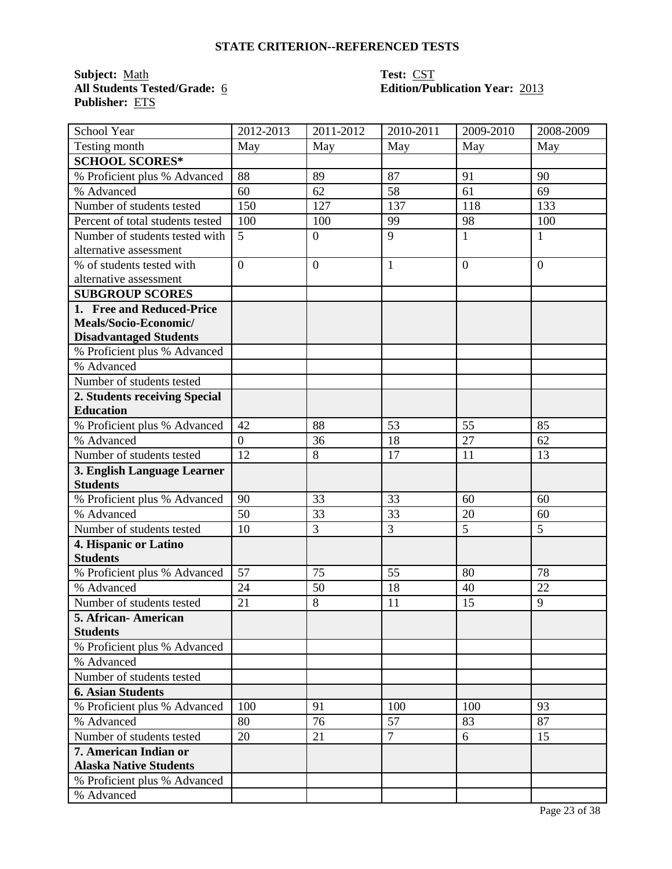**Subject:** <u>Math</u> **Test:** <u>CST</u><br> **All Students Tested/Grade:** <u>6</u> **COVERGING <b>COVERGING COVERGING COVERGING COVERGING Publisher:** ETS

# **All Students Tested/Grade:** 6 **Edition/Publication Year:** 2013

| School Year                            | 2012-2013      | 2011-2012      | 2010-2011      | 2009-2010      | 2008-2009 |
|----------------------------------------|----------------|----------------|----------------|----------------|-----------|
| Testing month                          | May            | May            | May            | May            | May       |
| <b>SCHOOL SCORES*</b>                  |                |                |                |                |           |
| % Proficient plus % Advanced           | 88             | 89             | 87             | 91             | 90        |
| % Advanced                             | 60             | 62             | 58             | 61             | 69        |
| Number of students tested              | 150            | 127            | 137            | 118            | 133       |
| Percent of total students tested       | 100            | 100            | 99             | 98             | 100       |
| Number of students tested with         | 5              | $\mathbf{0}$   | 9              | $\mathbf{1}$   | 1         |
| alternative assessment                 |                |                |                |                |           |
| % of students tested with              | $\overline{0}$ | $\overline{0}$ | $\mathbf{1}$   | $\overline{0}$ | $\Omega$  |
| alternative assessment                 |                |                |                |                |           |
| <b>SUBGROUP SCORES</b>                 |                |                |                |                |           |
| 1. Free and Reduced-Price              |                |                |                |                |           |
| Meals/Socio-Economic/                  |                |                |                |                |           |
| <b>Disadvantaged Students</b>          |                |                |                |                |           |
| % Proficient plus % Advanced           |                |                |                |                |           |
| % Advanced                             |                |                |                |                |           |
| Number of students tested              |                |                |                |                |           |
| 2. Students receiving Special          |                |                |                |                |           |
| <b>Education</b>                       |                |                |                |                |           |
| % Proficient plus % Advanced           | 42             | 88             | 53             | 55             | 85        |
| % Advanced                             | $\overline{0}$ | 36             | 18             | 27             | 62        |
| Number of students tested              | 12             | 8              | 17             | 11             | 13        |
| 3. English Language Learner            |                |                |                |                |           |
| <b>Students</b>                        |                |                |                |                |           |
| % Proficient plus % Advanced           | 90             | 33             | 33             | 60             | 60        |
| % Advanced                             | 50             | 33             | 33             | 20             | 60        |
| Number of students tested              | 10             | 3              | 3              | 5              | 5         |
| 4. Hispanic or Latino                  |                |                |                |                |           |
| <b>Students</b>                        | 57             |                | 55             | 80             | 78        |
| % Proficient plus % Advanced           |                | 75             |                |                |           |
| % Advanced                             | 24             | 50             | 18             | 40             | 22        |
| Number of students tested              | 21             | 8              | 11             | 15             | 9         |
| 5. African-American<br><b>Students</b> |                |                |                |                |           |
| % Proficient plus % Advanced           |                |                |                |                |           |
| % Advanced                             |                |                |                |                |           |
| Number of students tested              |                |                |                |                |           |
| <b>6. Asian Students</b>               |                |                |                |                |           |
| % Proficient plus % Advanced           | 100            | 91             | 100            | 100            | 93        |
| % Advanced                             | 80             | 76             | 57             | 83             | 87        |
| Number of students tested              | 20             | 21             | $\overline{7}$ | 6              | 15        |
| 7. American Indian or                  |                |                |                |                |           |
| <b>Alaska Native Students</b>          |                |                |                |                |           |
| % Proficient plus % Advanced           |                |                |                |                |           |
| % Advanced                             |                |                |                |                |           |
|                                        |                |                |                |                |           |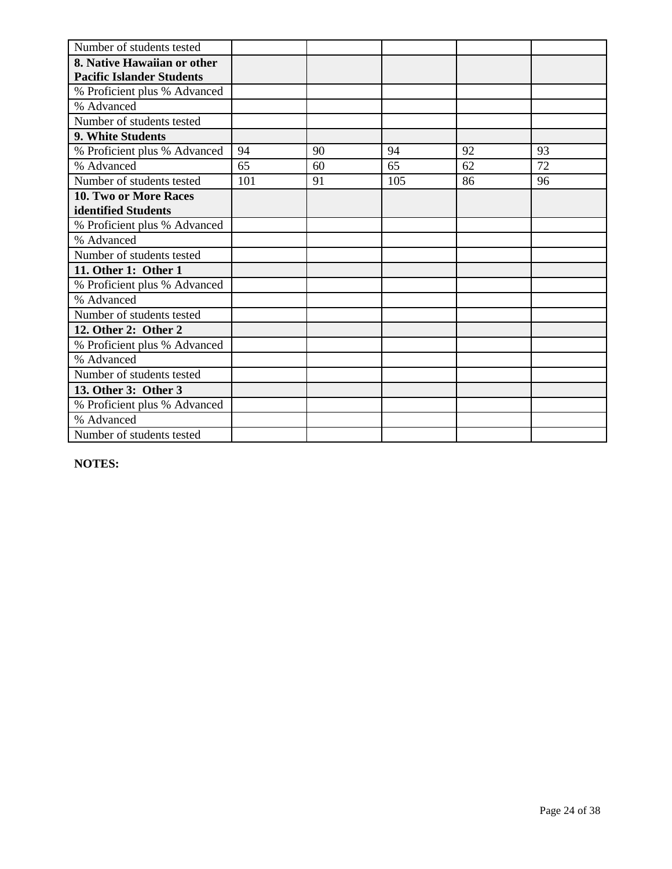| Number of students tested        |     |    |     |    |    |
|----------------------------------|-----|----|-----|----|----|
| 8. Native Hawaiian or other      |     |    |     |    |    |
| <b>Pacific Islander Students</b> |     |    |     |    |    |
| % Proficient plus % Advanced     |     |    |     |    |    |
| % Advanced                       |     |    |     |    |    |
| Number of students tested        |     |    |     |    |    |
| 9. White Students                |     |    |     |    |    |
| % Proficient plus % Advanced     | 94  | 90 | 94  | 92 | 93 |
| % Advanced                       | 65  | 60 | 65  | 62 | 72 |
| Number of students tested        | 101 | 91 | 105 | 86 | 96 |
| <b>10. Two or More Races</b>     |     |    |     |    |    |
| identified Students              |     |    |     |    |    |
| % Proficient plus % Advanced     |     |    |     |    |    |
| % Advanced                       |     |    |     |    |    |
| Number of students tested        |     |    |     |    |    |
| 11. Other 1: Other 1             |     |    |     |    |    |
| % Proficient plus % Advanced     |     |    |     |    |    |
| % Advanced                       |     |    |     |    |    |
| Number of students tested        |     |    |     |    |    |
| 12. Other 2: Other 2             |     |    |     |    |    |
| % Proficient plus % Advanced     |     |    |     |    |    |
| % Advanced                       |     |    |     |    |    |
| Number of students tested        |     |    |     |    |    |
| 13. Other 3: Other 3             |     |    |     |    |    |
| % Proficient plus % Advanced     |     |    |     |    |    |
| % Advanced                       |     |    |     |    |    |
| Number of students tested        |     |    |     |    |    |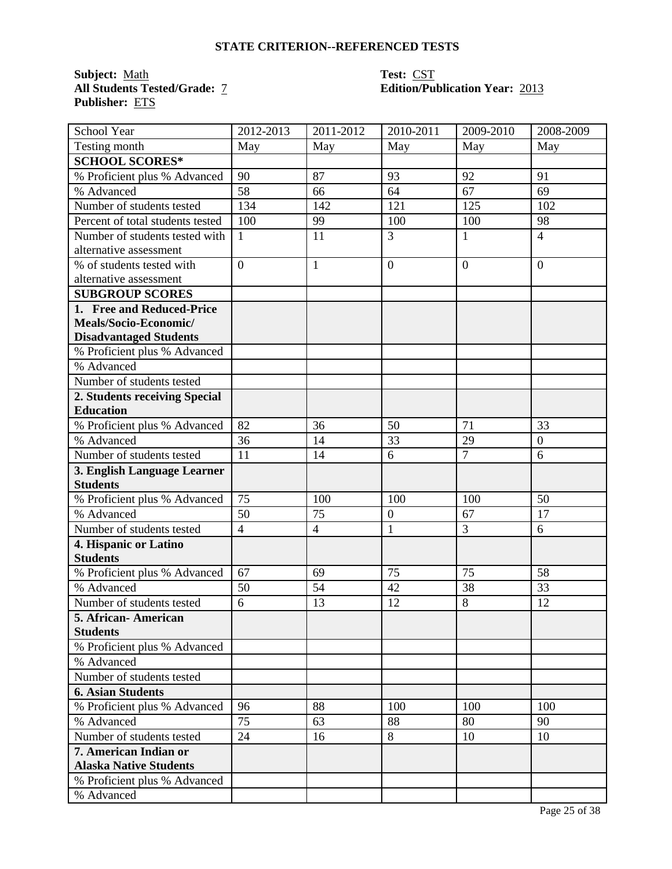**Subject:** <u>Math</u><br>All Students Tested/Grade: 7 **Publisher:** ETS

# **Test: CST<br>Edition/Publication Year: 2013**

| School Year                      | 2012-2013      | 2011-2012      | 2010-2011      | 2009-2010      | 2008-2009        |
|----------------------------------|----------------|----------------|----------------|----------------|------------------|
| Testing month                    | May            | May            | May            | May            | May              |
| <b>SCHOOL SCORES*</b>            |                |                |                |                |                  |
| % Proficient plus % Advanced     | 90             | 87             | 93             | 92             | 91               |
| % Advanced                       | 58             | 66             | 64             | 67             | 69               |
| Number of students tested        | 134            | 142            | 121            | 125            | 102              |
| Percent of total students tested | 100            | 99             | 100            | 100            | 98               |
| Number of students tested with   | $\mathbf{1}$   | 11             | 3              | 1              | $\overline{4}$   |
| alternative assessment           |                |                |                |                |                  |
| % of students tested with        | $\overline{0}$ | $\mathbf{1}$   | $\overline{0}$ | $\overline{0}$ | $\overline{0}$   |
| alternative assessment           |                |                |                |                |                  |
| <b>SUBGROUP SCORES</b>           |                |                |                |                |                  |
| 1. Free and Reduced-Price        |                |                |                |                |                  |
| Meals/Socio-Economic/            |                |                |                |                |                  |
| <b>Disadvantaged Students</b>    |                |                |                |                |                  |
| % Proficient plus % Advanced     |                |                |                |                |                  |
| % Advanced                       |                |                |                |                |                  |
| Number of students tested        |                |                |                |                |                  |
| 2. Students receiving Special    |                |                |                |                |                  |
| <b>Education</b>                 |                |                |                |                |                  |
| % Proficient plus % Advanced     | 82             | 36             | 50             | 71             | 33               |
| % Advanced                       | 36             | 14             | 33             | 29             | $\boldsymbol{0}$ |
| Number of students tested        | 11             | 14             | 6              | $\overline{7}$ | 6                |
| 3. English Language Learner      |                |                |                |                |                  |
| <b>Students</b>                  |                |                |                |                |                  |
| % Proficient plus % Advanced     | 75             | 100            | 100            | 100            | 50               |
| % Advanced                       | 50             | 75             | $\overline{0}$ | 67             | 17               |
| Number of students tested        | $\overline{4}$ | $\overline{4}$ | $\mathbf{1}$   | $\overline{3}$ | 6                |
| 4. Hispanic or Latino            |                |                |                |                |                  |
| <b>Students</b>                  |                |                |                |                |                  |
| % Proficient plus % Advanced     | 67             | 69             | 75             | 75             | 58               |
| % Advanced                       | 50             | 54             | 42             | 38             | 33               |
| Number of students tested        | 6              | 13             | 12             | 8              | 12               |
| 5. African- American             |                |                |                |                |                  |
| <b>Students</b>                  |                |                |                |                |                  |
| % Proficient plus % Advanced     |                |                |                |                |                  |
| % Advanced                       |                |                |                |                |                  |
| Number of students tested        |                |                |                |                |                  |
| <b>6. Asian Students</b>         |                |                |                |                |                  |
| % Proficient plus % Advanced     | 96             | 88             | 100            | 100            | 100              |
| % Advanced                       | 75             | 63             | 88             | 80             | 90               |
| Number of students tested        | 24             | 16             | 8              | 10             | 10               |
| 7. American Indian or            |                |                |                |                |                  |
| <b>Alaska Native Students</b>    |                |                |                |                |                  |
| % Proficient plus % Advanced     |                |                |                |                |                  |
| % Advanced                       |                |                |                |                |                  |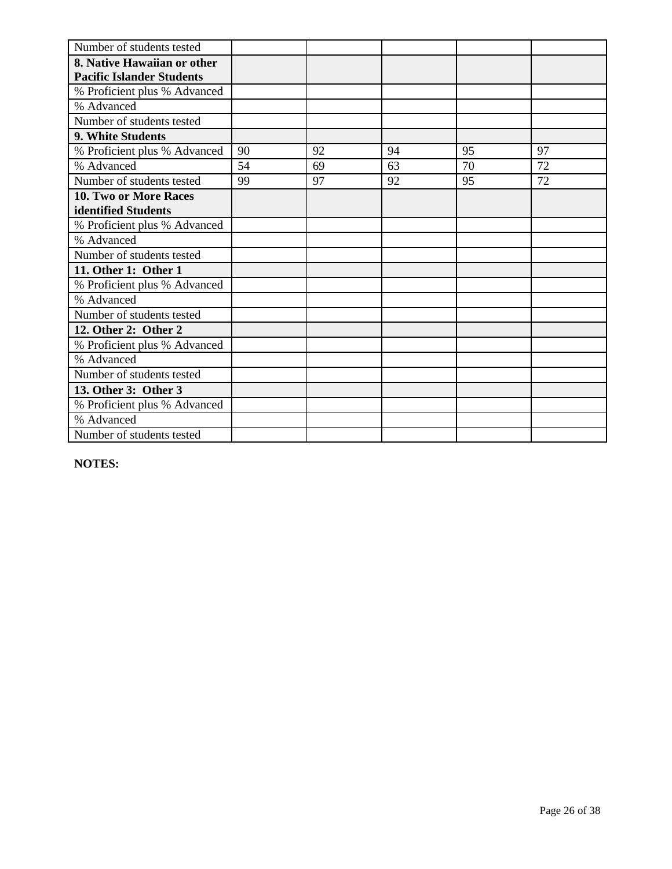| Number of students tested        |    |    |    |    |    |
|----------------------------------|----|----|----|----|----|
| 8. Native Hawaiian or other      |    |    |    |    |    |
| <b>Pacific Islander Students</b> |    |    |    |    |    |
| % Proficient plus % Advanced     |    |    |    |    |    |
| % Advanced                       |    |    |    |    |    |
| Number of students tested        |    |    |    |    |    |
| 9. White Students                |    |    |    |    |    |
| % Proficient plus % Advanced     | 90 | 92 | 94 | 95 | 97 |
| % Advanced                       | 54 | 69 | 63 | 70 | 72 |
| Number of students tested        | 99 | 97 | 92 | 95 | 72 |
| <b>10. Two or More Races</b>     |    |    |    |    |    |
| identified Students              |    |    |    |    |    |
| % Proficient plus % Advanced     |    |    |    |    |    |
| % Advanced                       |    |    |    |    |    |
| Number of students tested        |    |    |    |    |    |
| 11. Other 1: Other 1             |    |    |    |    |    |
| % Proficient plus % Advanced     |    |    |    |    |    |
| % Advanced                       |    |    |    |    |    |
| Number of students tested        |    |    |    |    |    |
| 12. Other 2: Other 2             |    |    |    |    |    |
| % Proficient plus % Advanced     |    |    |    |    |    |
| % Advanced                       |    |    |    |    |    |
| Number of students tested        |    |    |    |    |    |
| 13. Other 3: Other 3             |    |    |    |    |    |
| % Proficient plus % Advanced     |    |    |    |    |    |
| % Advanced                       |    |    |    |    |    |
| Number of students tested        |    |    |    |    |    |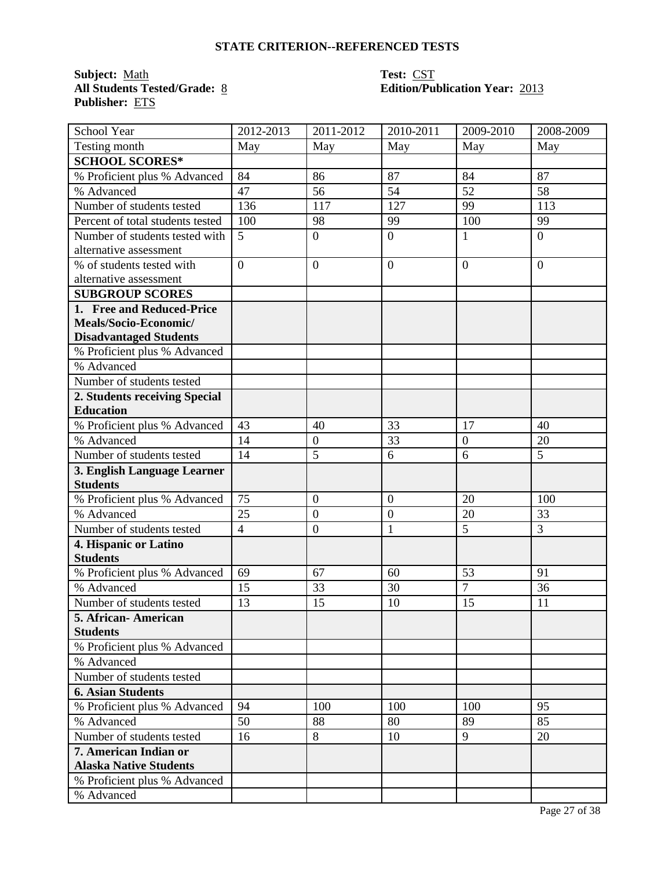**Subject:** Math<br>**All Students Tested/Grade:** <u>8</u> **Publisher:** ETS

# **Test: CST<br>Edition/Publication Year: 2013**

| School Year                      | 2012-2013      | 2011-2012        | 2010-2011      | 2009-2010        | 2008-2009      |
|----------------------------------|----------------|------------------|----------------|------------------|----------------|
| Testing month                    | May            | May              | May            | May              | May            |
| <b>SCHOOL SCORES*</b>            |                |                  |                |                  |                |
| % Proficient plus % Advanced     | 84             | 86               | 87             | 84               | 87             |
| % Advanced                       | 47             | 56               | 54             | 52               | 58             |
| Number of students tested        | 136            | 117              | 127            | 99               | 113            |
| Percent of total students tested | 100            | 98               | 99             | 100              | 99             |
| Number of students tested with   | 5              | $\overline{0}$   | $\overline{0}$ | $\mathbf{1}$     | $\overline{0}$ |
| alternative assessment           |                |                  |                |                  |                |
| % of students tested with        | $\overline{0}$ | $\overline{0}$   | $\overline{0}$ | $\overline{0}$   | $\Omega$       |
| alternative assessment           |                |                  |                |                  |                |
| <b>SUBGROUP SCORES</b>           |                |                  |                |                  |                |
| 1. Free and Reduced-Price        |                |                  |                |                  |                |
| Meals/Socio-Economic/            |                |                  |                |                  |                |
| <b>Disadvantaged Students</b>    |                |                  |                |                  |                |
| % Proficient plus % Advanced     |                |                  |                |                  |                |
| % Advanced                       |                |                  |                |                  |                |
| Number of students tested        |                |                  |                |                  |                |
| 2. Students receiving Special    |                |                  |                |                  |                |
| <b>Education</b>                 |                |                  |                |                  |                |
| % Proficient plus % Advanced     | 43             | 40               | 33             | 17               | 40             |
| % Advanced                       | 14             | $\boldsymbol{0}$ | 33             | $\boldsymbol{0}$ | 20             |
| Number of students tested        | 14             | 5                | 6              | 6                | 5              |
| 3. English Language Learner      |                |                  |                |                  |                |
| <b>Students</b>                  |                |                  |                |                  |                |
| % Proficient plus % Advanced     | 75             | $\boldsymbol{0}$ | $\mathbf{0}$   | 20               | 100            |
| % Advanced                       | 25             | $\mathbf{0}$     | $\mathbf{0}$   | 20               | 33             |
| Number of students tested        | $\overline{4}$ | $\boldsymbol{0}$ | $\mathbf{1}$   | 5                | 3              |
| 4. Hispanic or Latino            |                |                  |                |                  |                |
| <b>Students</b>                  |                |                  |                |                  |                |
| % Proficient plus % Advanced     | 69             | 67               | 60             | 53               | 91             |
| % Advanced                       | 15             | 33               | 30             | $\overline{7}$   | 36             |
| Number of students tested        | 13             | 15               | 10             | 15               | 11             |
| 5. African-American              |                |                  |                |                  |                |
| <b>Students</b>                  |                |                  |                |                  |                |
| % Proficient plus % Advanced     |                |                  |                |                  |                |
| % Advanced                       |                |                  |                |                  |                |
| Number of students tested        |                |                  |                |                  |                |
| <b>6. Asian Students</b>         |                |                  |                |                  |                |
| % Proficient plus % Advanced     | 94             | 100              | 100            | 100              | 95             |
| % Advanced                       | 50             | 88               | 80             | 89               | 85             |
| Number of students tested        | 16             | 8                | 10             | 9                | 20             |
| 7. American Indian or            |                |                  |                |                  |                |
| <b>Alaska Native Students</b>    |                |                  |                |                  |                |
| % Proficient plus % Advanced     |                |                  |                |                  |                |
| % Advanced                       |                |                  |                |                  |                |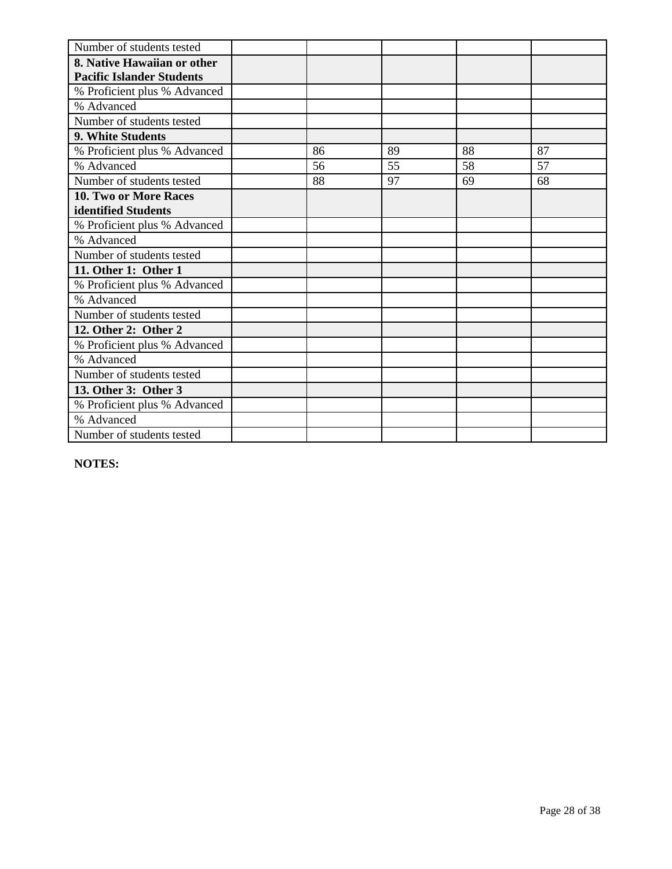| Number of students tested        |    |    |    |    |
|----------------------------------|----|----|----|----|
| 8. Native Hawaiian or other      |    |    |    |    |
| <b>Pacific Islander Students</b> |    |    |    |    |
| % Proficient plus % Advanced     |    |    |    |    |
| % Advanced                       |    |    |    |    |
| Number of students tested        |    |    |    |    |
| <b>9. White Students</b>         |    |    |    |    |
| % Proficient plus % Advanced     | 86 | 89 | 88 | 87 |
| % Advanced                       | 56 | 55 | 58 | 57 |
| Number of students tested        | 88 | 97 | 69 | 68 |
| <b>10. Two or More Races</b>     |    |    |    |    |
| identified Students              |    |    |    |    |
| % Proficient plus % Advanced     |    |    |    |    |
| % Advanced                       |    |    |    |    |
| Number of students tested        |    |    |    |    |
| 11. Other 1: Other 1             |    |    |    |    |
| % Proficient plus % Advanced     |    |    |    |    |
| % Advanced                       |    |    |    |    |
| Number of students tested        |    |    |    |    |
| 12. Other 2: Other 2             |    |    |    |    |
| % Proficient plus % Advanced     |    |    |    |    |
| % Advanced                       |    |    |    |    |
| Number of students tested        |    |    |    |    |
| 13. Other 3: Other 3             |    |    |    |    |
| % Proficient plus % Advanced     |    |    |    |    |
| % Advanced                       |    |    |    |    |
| Number of students tested        |    |    |    |    |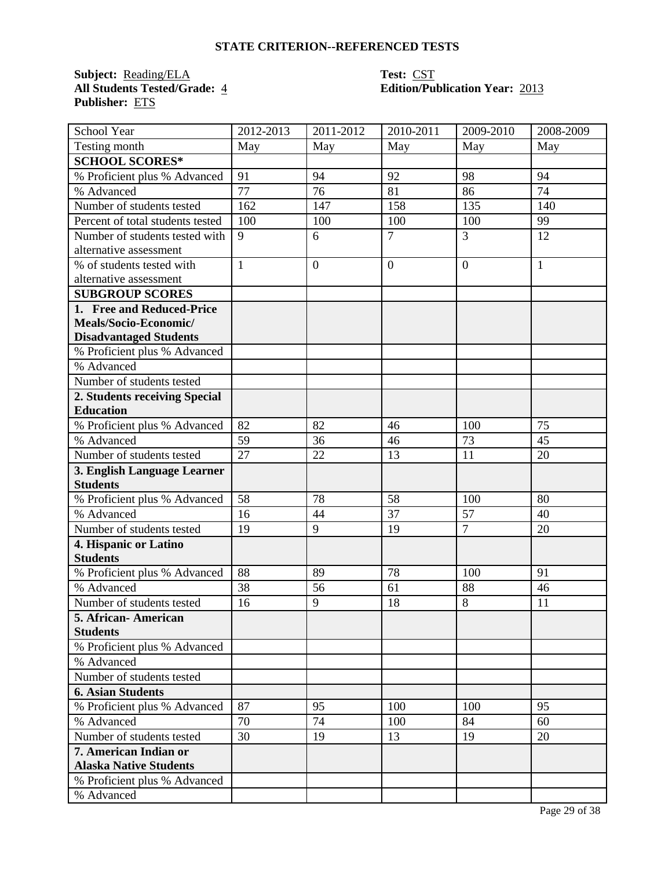**Subject:** <u>Reading/ELA</u><br>All Students Tested/Grade: 4 **Publisher:** ETS

# **Test: CST<br>Edition/Publication Year: 2013**

| School Year                      | 2012-2013    | 2011-2012      | 2010-2011      | 2009-2010      | 2008-2009    |
|----------------------------------|--------------|----------------|----------------|----------------|--------------|
| Testing month                    | May          | May            | May            | May            | May          |
| <b>SCHOOL SCORES*</b>            |              |                |                |                |              |
| % Proficient plus % Advanced     | 91           | 94             | 92             | 98             | 94           |
| % Advanced                       | 77           | 76             | 81             | 86             | 74           |
| Number of students tested        | 162          | 147            | 158            | 135            | 140          |
| Percent of total students tested | 100          | 100            | 100            | 100            | 99           |
| Number of students tested with   | 9            | 6              | $\overline{7}$ | $\overline{3}$ | 12           |
| alternative assessment           |              |                |                |                |              |
| % of students tested with        | $\mathbf{1}$ | $\overline{0}$ | $\overline{0}$ | $\overline{0}$ | $\mathbf{1}$ |
| alternative assessment           |              |                |                |                |              |
| <b>SUBGROUP SCORES</b>           |              |                |                |                |              |
| 1. Free and Reduced-Price        |              |                |                |                |              |
| Meals/Socio-Economic/            |              |                |                |                |              |
| <b>Disadvantaged Students</b>    |              |                |                |                |              |
| % Proficient plus % Advanced     |              |                |                |                |              |
| % Advanced                       |              |                |                |                |              |
| Number of students tested        |              |                |                |                |              |
| 2. Students receiving Special    |              |                |                |                |              |
| <b>Education</b>                 |              |                |                |                |              |
| % Proficient plus % Advanced     | 82           | 82             | 46             | 100            | 75           |
| % Advanced                       | 59           | 36             | 46             | 73             | 45           |
| Number of students tested        | 27           | 22             | 13             | 11             | 20           |
| 3. English Language Learner      |              |                |                |                |              |
| <b>Students</b>                  |              |                |                |                |              |
| % Proficient plus % Advanced     | 58           | 78             | 58             | 100            | 80           |
| % Advanced                       | 16           | 44             | 37             | 57             | 40           |
| Number of students tested        | 19           | 9              | 19             | $\overline{7}$ | 20           |
| 4. Hispanic or Latino            |              |                |                |                |              |
| <b>Students</b>                  |              |                |                |                |              |
| % Proficient plus % Advanced     | 88           | 89             | 78             | 100            | 91           |
| % Advanced                       | 38           | 56             | 61             | 88             | 46           |
| Number of students tested        | 16           | 9              | 18             | 8              | 11           |
| 5. African-American              |              |                |                |                |              |
| <b>Students</b>                  |              |                |                |                |              |
| % Proficient plus % Advanced     |              |                |                |                |              |
| % Advanced                       |              |                |                |                |              |
| Number of students tested        |              |                |                |                |              |
| <b>6. Asian Students</b>         |              |                |                |                |              |
| % Proficient plus % Advanced     | 87           | 95             | 100            | 100            | 95           |
| % Advanced                       | 70           | 74             | 100            | 84             | 60           |
| Number of students tested        | 30           | 19             | 13             | 19             | 20           |
| 7. American Indian or            |              |                |                |                |              |
| <b>Alaska Native Students</b>    |              |                |                |                |              |
| % Proficient plus % Advanced     |              |                |                |                |              |
| % Advanced                       |              |                |                |                |              |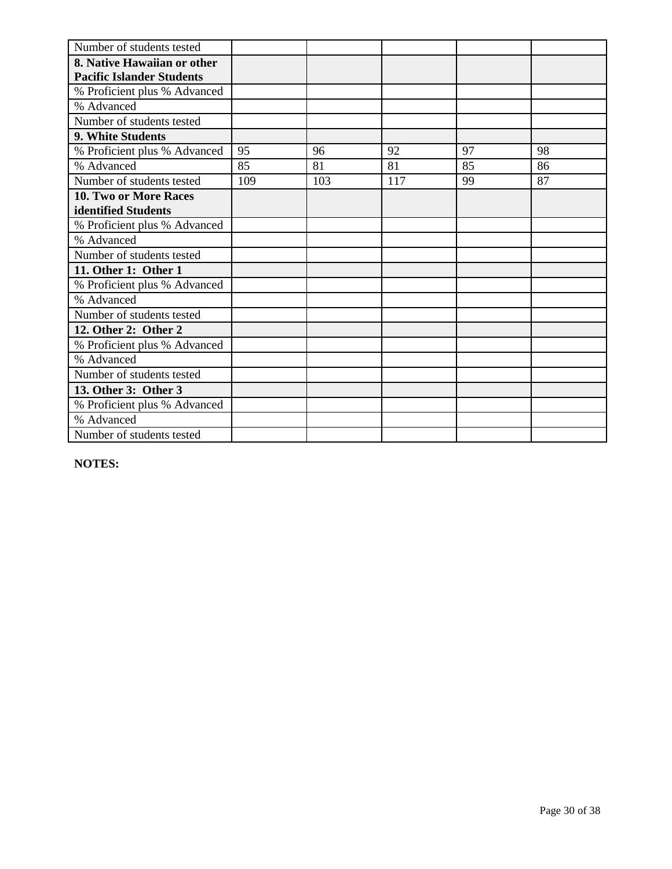| Number of students tested        |     |     |     |    |    |
|----------------------------------|-----|-----|-----|----|----|
| 8. Native Hawaiian or other      |     |     |     |    |    |
| <b>Pacific Islander Students</b> |     |     |     |    |    |
| % Proficient plus % Advanced     |     |     |     |    |    |
| % Advanced                       |     |     |     |    |    |
| Number of students tested        |     |     |     |    |    |
| 9. White Students                |     |     |     |    |    |
| % Proficient plus % Advanced     | 95  | 96  | 92  | 97 | 98 |
| % Advanced                       | 85  | 81  | 81  | 85 | 86 |
| Number of students tested        | 109 | 103 | 117 | 99 | 87 |
| 10. Two or More Races            |     |     |     |    |    |
| identified Students              |     |     |     |    |    |
| % Proficient plus % Advanced     |     |     |     |    |    |
| % Advanced                       |     |     |     |    |    |
| Number of students tested        |     |     |     |    |    |
| 11. Other 1: Other 1             |     |     |     |    |    |
| % Proficient plus % Advanced     |     |     |     |    |    |
| % Advanced                       |     |     |     |    |    |
| Number of students tested        |     |     |     |    |    |
| 12. Other 2: Other 2             |     |     |     |    |    |
| % Proficient plus % Advanced     |     |     |     |    |    |
| % Advanced                       |     |     |     |    |    |
| Number of students tested        |     |     |     |    |    |
| 13. Other 3: Other 3             |     |     |     |    |    |
| % Proficient plus % Advanced     |     |     |     |    |    |
| % Advanced                       |     |     |     |    |    |
| Number of students tested        |     |     |     |    |    |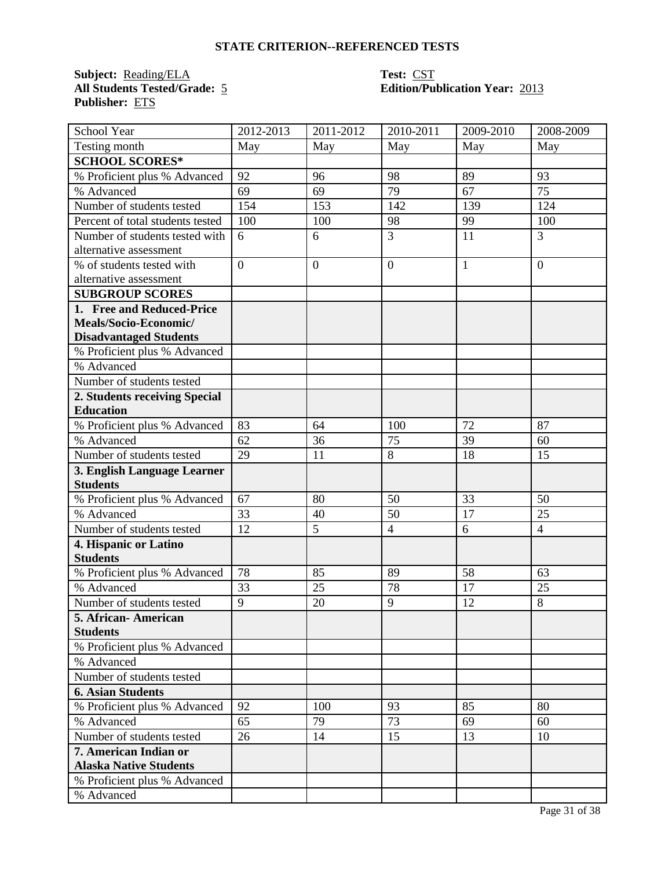**Subject:** <u>Reading/ELA</u><br>**All Students Tested/Grade:** 5 **Publisher:** ETS

# **Test: CST<br>Edition/Publication Year: 2013**

| School Year                      | 2012-2013      | 2011-2012      | 2010-2011      | 2009-2010    | 2008-2009      |
|----------------------------------|----------------|----------------|----------------|--------------|----------------|
| Testing month                    | May            | May            | May            | May          | May            |
| <b>SCHOOL SCORES*</b>            |                |                |                |              |                |
| % Proficient plus % Advanced     | 92             | 96             | 98             | 89           | 93             |
| % Advanced                       | 69             | 69             | 79             | 67           | 75             |
| Number of students tested        | 154            | 153            | 142            | 139          | 124            |
| Percent of total students tested | 100            | 100            | 98             | 99           | 100            |
| Number of students tested with   | 6              | 6              | $\overline{3}$ | 11           | $\overline{3}$ |
| alternative assessment           |                |                |                |              |                |
| % of students tested with        | $\overline{0}$ | $\overline{0}$ | $\overline{0}$ | $\mathbf{1}$ | $\overline{0}$ |
| alternative assessment           |                |                |                |              |                |
| <b>SUBGROUP SCORES</b>           |                |                |                |              |                |
| 1. Free and Reduced-Price        |                |                |                |              |                |
| Meals/Socio-Economic/            |                |                |                |              |                |
| <b>Disadvantaged Students</b>    |                |                |                |              |                |
| % Proficient plus % Advanced     |                |                |                |              |                |
| % Advanced                       |                |                |                |              |                |
| Number of students tested        |                |                |                |              |                |
| 2. Students receiving Special    |                |                |                |              |                |
| <b>Education</b>                 |                |                |                |              |                |
| % Proficient plus % Advanced     | 83             | 64             | 100            | 72           | 87             |
| % Advanced                       | 62             | 36             | 75             | 39           | 60             |
| Number of students tested        | 29             | 11             | 8              | 18           | 15             |
| 3. English Language Learner      |                |                |                |              |                |
| <b>Students</b>                  |                |                |                |              |                |
| % Proficient plus % Advanced     | 67             | 80             | 50             | 33           | 50             |
| % Advanced                       | 33             | 40             | 50             | 17           | 25             |
| Number of students tested        | 12             | 5              | $\overline{4}$ | 6            | $\overline{4}$ |
| 4. Hispanic or Latino            |                |                |                |              |                |
| <b>Students</b>                  |                |                |                |              |                |
| % Proficient plus % Advanced     | 78             | 85             | 89             | 58           | 63             |
| % Advanced                       | 33             | 25             | 78             | 17           | 25             |
| Number of students tested        | $\overline{9}$ | 20             | 9              | 12           | 8              |
| 5. African-American              |                |                |                |              |                |
| <b>Students</b>                  |                |                |                |              |                |
| % Proficient plus % Advanced     |                |                |                |              |                |
| % Advanced                       |                |                |                |              |                |
| Number of students tested        |                |                |                |              |                |
| <b>6. Asian Students</b>         |                |                |                |              |                |
| % Proficient plus % Advanced     | 92             | 100            | 93             | 85           | 80             |
| % Advanced                       | 65             | 79             | 73             | 69           | 60             |
| Number of students tested        | 26             | 14             | 15             | 13           | 10             |
| 7. American Indian or            |                |                |                |              |                |
| <b>Alaska Native Students</b>    |                |                |                |              |                |
| % Proficient plus % Advanced     |                |                |                |              |                |
| % Advanced                       |                |                |                |              |                |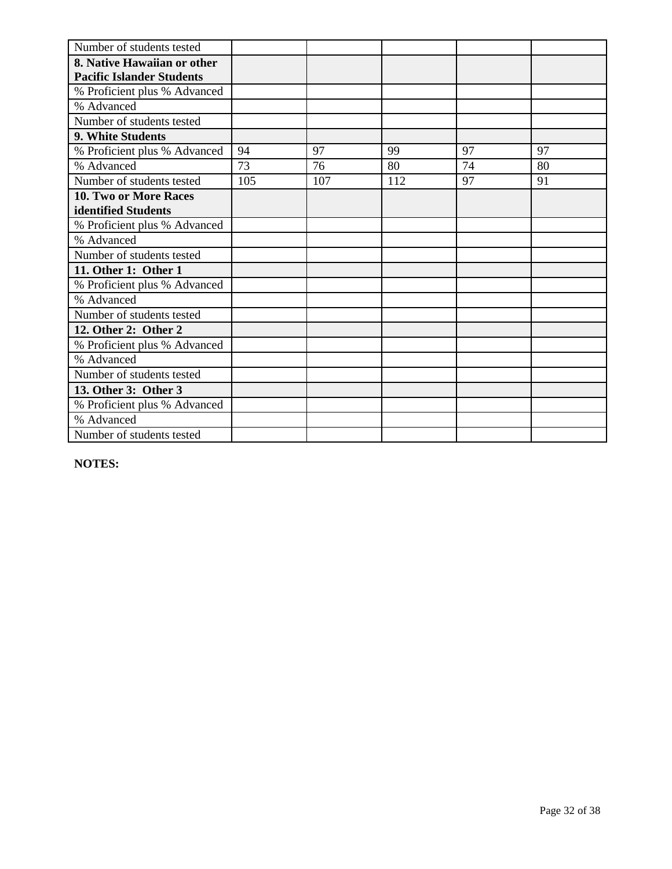| Number of students tested        |     |     |     |    |    |
|----------------------------------|-----|-----|-----|----|----|
| 8. Native Hawaiian or other      |     |     |     |    |    |
| <b>Pacific Islander Students</b> |     |     |     |    |    |
| % Proficient plus % Advanced     |     |     |     |    |    |
| % Advanced                       |     |     |     |    |    |
| Number of students tested        |     |     |     |    |    |
| 9. White Students                |     |     |     |    |    |
| % Proficient plus % Advanced     | 94  | 97  | 99  | 97 | 97 |
| % Advanced                       | 73  | 76  | 80  | 74 | 80 |
| Number of students tested        | 105 | 107 | 112 | 97 | 91 |
| 10. Two or More Races            |     |     |     |    |    |
| identified Students              |     |     |     |    |    |
| % Proficient plus % Advanced     |     |     |     |    |    |
| % Advanced                       |     |     |     |    |    |
| Number of students tested        |     |     |     |    |    |
| 11. Other 1: Other 1             |     |     |     |    |    |
| % Proficient plus % Advanced     |     |     |     |    |    |
| % Advanced                       |     |     |     |    |    |
| Number of students tested        |     |     |     |    |    |
| 12. Other 2: Other 2             |     |     |     |    |    |
| % Proficient plus % Advanced     |     |     |     |    |    |
| % Advanced                       |     |     |     |    |    |
| Number of students tested        |     |     |     |    |    |
| 13. Other 3: Other 3             |     |     |     |    |    |
| % Proficient plus % Advanced     |     |     |     |    |    |
| % Advanced                       |     |     |     |    |    |
| Number of students tested        |     |     |     |    |    |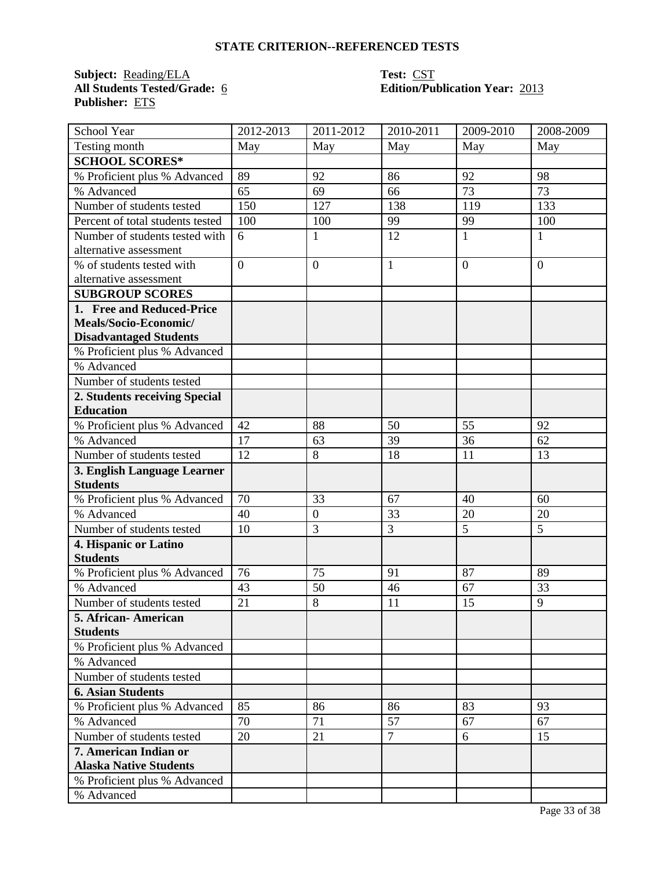**Subject:** <u>Reading/ELA</u><br>All Students Tested/Grade: 6 **Publisher:** ETS

# **Test: CST<br>Edition/Publication Year: 2013**

| School Year                      | 2012-2013      | 2011-2012        | 2010-2011      | 2009-2010      | 2008-2009      |
|----------------------------------|----------------|------------------|----------------|----------------|----------------|
| Testing month                    | May            | May              | May            | May            | May            |
| <b>SCHOOL SCORES*</b>            |                |                  |                |                |                |
| % Proficient plus % Advanced     | 89             | 92               | 86             | 92             | 98             |
| % Advanced                       | 65             | 69               | 66             | 73             | 73             |
| Number of students tested        | 150            | 127              | 138            | 119            | 133            |
| Percent of total students tested | 100            | 100              | 99             | 99             | 100            |
| Number of students tested with   | 6              | $\mathbf{1}$     | 12             | $\mathbf{1}$   | $\mathbf{1}$   |
| alternative assessment           |                |                  |                |                |                |
| % of students tested with        | $\overline{0}$ | $\overline{0}$   | $\mathbf{1}$   | $\overline{0}$ | $\overline{0}$ |
| alternative assessment           |                |                  |                |                |                |
| <b>SUBGROUP SCORES</b>           |                |                  |                |                |                |
| 1. Free and Reduced-Price        |                |                  |                |                |                |
| Meals/Socio-Economic/            |                |                  |                |                |                |
| <b>Disadvantaged Students</b>    |                |                  |                |                |                |
| % Proficient plus % Advanced     |                |                  |                |                |                |
| % Advanced                       |                |                  |                |                |                |
| Number of students tested        |                |                  |                |                |                |
| 2. Students receiving Special    |                |                  |                |                |                |
| <b>Education</b>                 |                |                  |                |                |                |
| % Proficient plus % Advanced     | 42             | 88               | 50             | 55             | 92             |
| % Advanced                       | 17             | 63               | 39             | 36             | 62             |
| Number of students tested        | 12             | 8                | 18             | 11             | 13             |
| 3. English Language Learner      |                |                  |                |                |                |
| <b>Students</b>                  |                |                  |                |                |                |
| % Proficient plus % Advanced     | 70             | 33               | 67             | 40             | 60             |
| % Advanced                       | 40             | $\boldsymbol{0}$ | 33             | 20             | 20             |
| Number of students tested        | 10             | 3                | 3              | 5              | 5              |
| 4. Hispanic or Latino            |                |                  |                |                |                |
| <b>Students</b>                  |                |                  |                |                |                |
| % Proficient plus % Advanced     | 76             | 75               | 91             | 87             | 89             |
| % Advanced                       | 43             | 50               | 46             | 67             | 33             |
| Number of students tested        | 21             | 8                | 11             | 15             | 9              |
| 5. African-American              |                |                  |                |                |                |
| <b>Students</b>                  |                |                  |                |                |                |
| % Proficient plus % Advanced     |                |                  |                |                |                |
| % Advanced                       |                |                  |                |                |                |
| Number of students tested        |                |                  |                |                |                |
| <b>6. Asian Students</b>         |                |                  |                |                |                |
| % Proficient plus % Advanced     | 85             | 86               | 86             | 83             | 93             |
| % Advanced                       | 70             | 71               | 57             | 67             | 67             |
| Number of students tested        | 20             | 21               | $\overline{7}$ | 6              | 15             |
| 7. American Indian or            |                |                  |                |                |                |
| <b>Alaska Native Students</b>    |                |                  |                |                |                |
| % Proficient plus % Advanced     |                |                  |                |                |                |
| % Advanced                       |                |                  |                |                |                |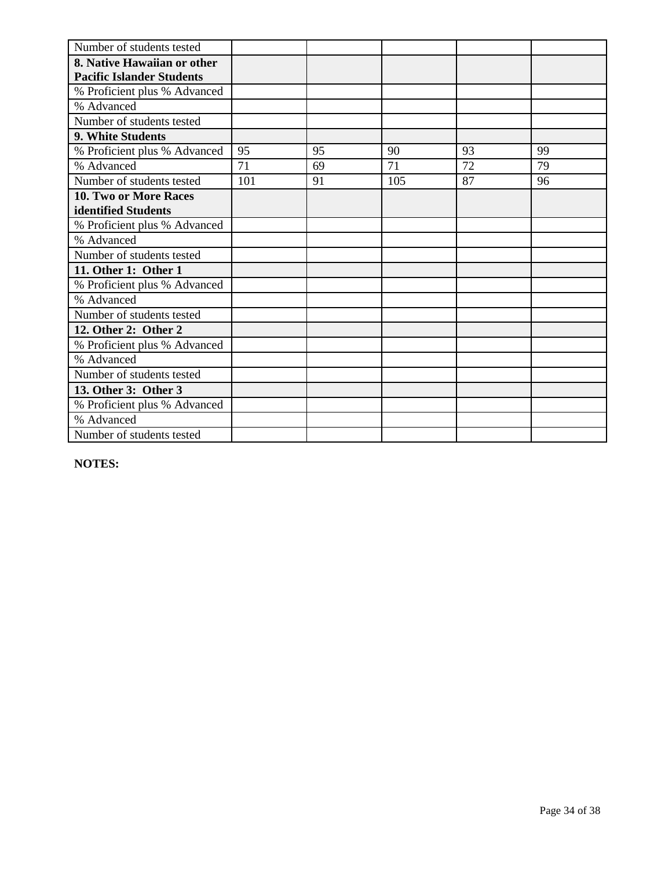| Number of students tested        |     |    |     |    |    |
|----------------------------------|-----|----|-----|----|----|
| 8. Native Hawaiian or other      |     |    |     |    |    |
| <b>Pacific Islander Students</b> |     |    |     |    |    |
| % Proficient plus % Advanced     |     |    |     |    |    |
| % Advanced                       |     |    |     |    |    |
| Number of students tested        |     |    |     |    |    |
| 9. White Students                |     |    |     |    |    |
| % Proficient plus % Advanced     | 95  | 95 | 90  | 93 | 99 |
| % Advanced                       | 71  | 69 | 71  | 72 | 79 |
| Number of students tested        | 101 | 91 | 105 | 87 | 96 |
| 10. Two or More Races            |     |    |     |    |    |
| identified Students              |     |    |     |    |    |
| % Proficient plus % Advanced     |     |    |     |    |    |
| % Advanced                       |     |    |     |    |    |
| Number of students tested        |     |    |     |    |    |
| 11. Other 1: Other 1             |     |    |     |    |    |
| % Proficient plus % Advanced     |     |    |     |    |    |
| % Advanced                       |     |    |     |    |    |
| Number of students tested        |     |    |     |    |    |
| 12. Other 2: Other 2             |     |    |     |    |    |
| % Proficient plus % Advanced     |     |    |     |    |    |
| % Advanced                       |     |    |     |    |    |
| Number of students tested        |     |    |     |    |    |
| 13. Other 3: Other 3             |     |    |     |    |    |
| % Proficient plus % Advanced     |     |    |     |    |    |
| % Advanced                       |     |    |     |    |    |
| Number of students tested        |     |    |     |    |    |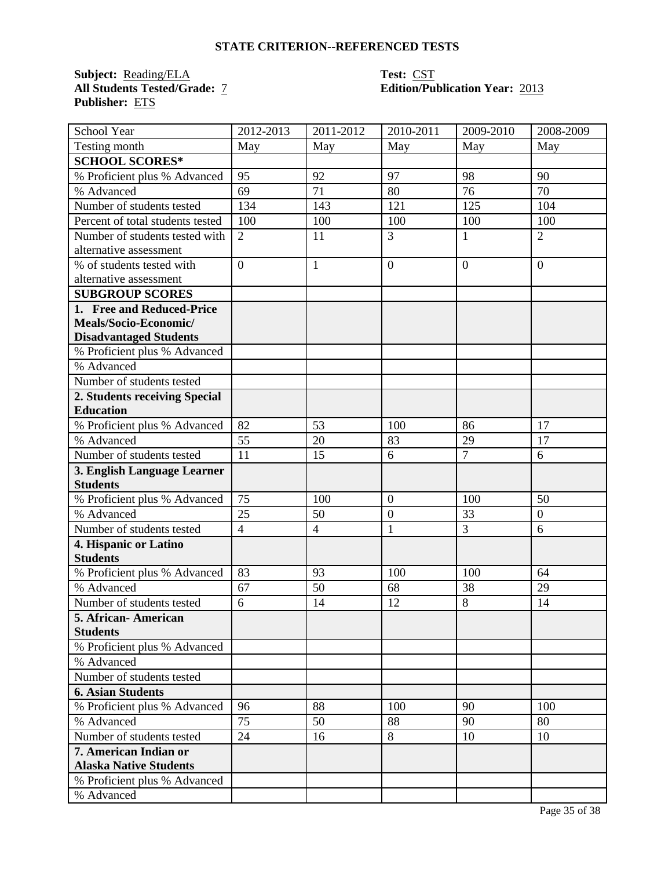**Subject:** <u>Reading/ELA</u><br>All Students Tested/Grade: 7 **Publisher:** ETS

# **Test: CST<br>Edition/Publication Year: 2013**

| School Year                      | 2012-2013      | 2011-2012      | 2010-2011      | 2009-2010      | 2008-2009        |
|----------------------------------|----------------|----------------|----------------|----------------|------------------|
| Testing month                    | May            | May            | May            | May            | May              |
| <b>SCHOOL SCORES*</b>            |                |                |                |                |                  |
| % Proficient plus % Advanced     | 95             | 92             | 97             | 98             | 90               |
| % Advanced                       | 69             | 71             | 80             | 76             | 70               |
| Number of students tested        | 134            | 143            | 121            | 125            | 104              |
| Percent of total students tested | 100            | 100            | 100            | 100            | 100              |
| Number of students tested with   | $\overline{2}$ | 11             | $\overline{3}$ | 1              | $\overline{2}$   |
| alternative assessment           |                |                |                |                |                  |
| % of students tested with        | $\overline{0}$ | $\mathbf{1}$   | $\overline{0}$ | $\overline{0}$ | $\overline{0}$   |
| alternative assessment           |                |                |                |                |                  |
| <b>SUBGROUP SCORES</b>           |                |                |                |                |                  |
| 1. Free and Reduced-Price        |                |                |                |                |                  |
| Meals/Socio-Economic/            |                |                |                |                |                  |
| <b>Disadvantaged Students</b>    |                |                |                |                |                  |
| % Proficient plus % Advanced     |                |                |                |                |                  |
| % Advanced                       |                |                |                |                |                  |
| Number of students tested        |                |                |                |                |                  |
| 2. Students receiving Special    |                |                |                |                |                  |
| <b>Education</b>                 |                |                |                |                |                  |
| % Proficient plus % Advanced     | 82             | 53             | 100            | 86             | 17               |
| % Advanced                       | 55             | 20             | 83             | 29             | 17               |
| Number of students tested        | 11             | 15             | 6              | $\overline{7}$ | 6                |
| 3. English Language Learner      |                |                |                |                |                  |
| <b>Students</b>                  |                |                |                |                |                  |
| % Proficient plus % Advanced     | 75             | 100            | $\mathbf{0}$   | 100            | 50               |
| % Advanced                       | 25             | 50             | $\mathbf{0}$   | 33             | $\boldsymbol{0}$ |
| Number of students tested        | $\overline{4}$ | $\overline{4}$ | $\mathbf{1}$   | $\overline{3}$ | 6                |
| 4. Hispanic or Latino            |                |                |                |                |                  |
| <b>Students</b>                  |                |                |                |                |                  |
| % Proficient plus % Advanced     | 83             | 93             | 100            | 100            | 64               |
| % Advanced                       | 67             | 50             | 68             | 38             | 29               |
| Number of students tested        | 6              | 14             | 12             | 8              | 14               |
| 5. African-American              |                |                |                |                |                  |
| <b>Students</b>                  |                |                |                |                |                  |
| % Proficient plus % Advanced     |                |                |                |                |                  |
| % Advanced                       |                |                |                |                |                  |
| Number of students tested        |                |                |                |                |                  |
| <b>6. Asian Students</b>         |                |                |                |                |                  |
| % Proficient plus % Advanced     | 96             | 88             | 100            | 90             | 100              |
| % Advanced                       | 75             | 50             | 88             | 90             | 80               |
| Number of students tested        | 24             | 16             | 8              | 10             | 10               |
| 7. American Indian or            |                |                |                |                |                  |
| <b>Alaska Native Students</b>    |                |                |                |                |                  |
| % Proficient plus % Advanced     |                |                |                |                |                  |
| % Advanced                       |                |                |                |                |                  |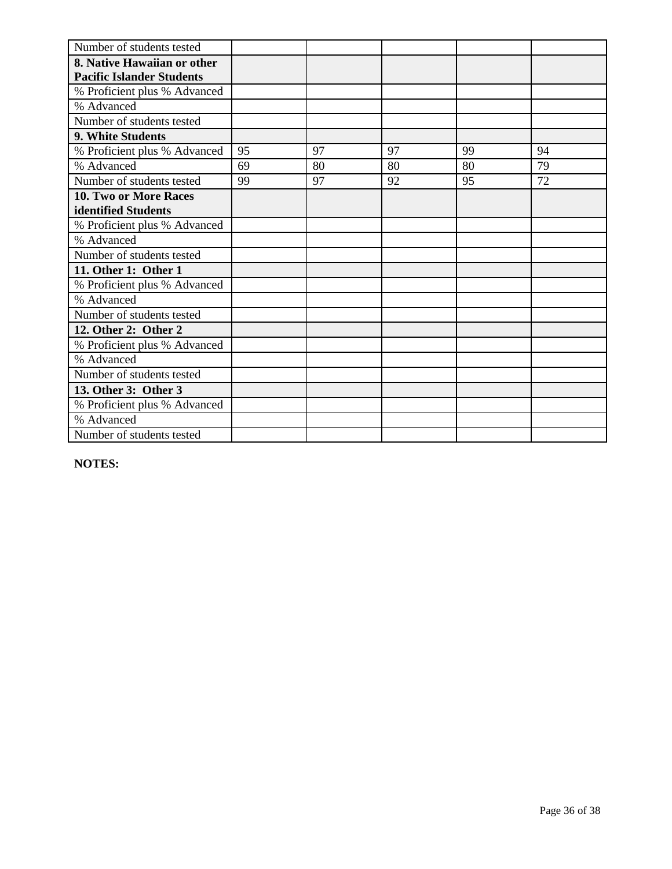| Number of students tested        |    |    |    |    |    |
|----------------------------------|----|----|----|----|----|
| 8. Native Hawaiian or other      |    |    |    |    |    |
| <b>Pacific Islander Students</b> |    |    |    |    |    |
| % Proficient plus % Advanced     |    |    |    |    |    |
| % Advanced                       |    |    |    |    |    |
| Number of students tested        |    |    |    |    |    |
| 9. White Students                |    |    |    |    |    |
| % Proficient plus % Advanced     | 95 | 97 | 97 | 99 | 94 |
| % Advanced                       | 69 | 80 | 80 | 80 | 79 |
| Number of students tested        | 99 | 97 | 92 | 95 | 72 |
| 10. Two or More Races            |    |    |    |    |    |
| identified Students              |    |    |    |    |    |
| % Proficient plus % Advanced     |    |    |    |    |    |
| % Advanced                       |    |    |    |    |    |
| Number of students tested        |    |    |    |    |    |
| 11. Other 1: Other 1             |    |    |    |    |    |
| % Proficient plus % Advanced     |    |    |    |    |    |
| % Advanced                       |    |    |    |    |    |
| Number of students tested        |    |    |    |    |    |
| 12. Other 2: Other 2             |    |    |    |    |    |
| % Proficient plus % Advanced     |    |    |    |    |    |
| % Advanced                       |    |    |    |    |    |
| Number of students tested        |    |    |    |    |    |
| 13. Other 3: Other 3             |    |    |    |    |    |
| % Proficient plus % Advanced     |    |    |    |    |    |
| % Advanced                       |    |    |    |    |    |
| Number of students tested        |    |    |    |    |    |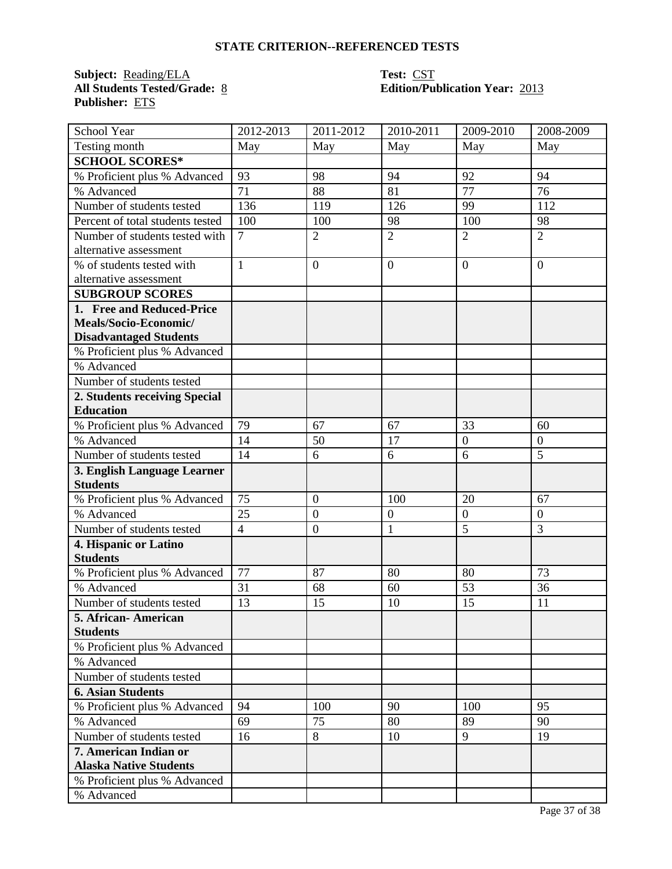**Subject:** <u>Reading/ELA</u><br>All Students Tested/Grade: <u>8</u> **Publisher:** ETS

# **Test: CST<br>Edition/Publication Year: 2013**

| School Year                      | 2012-2013      | 2011-2012        | 2010-2011      | 2009-2010        | 2008-2009        |
|----------------------------------|----------------|------------------|----------------|------------------|------------------|
| Testing month                    | May            | May              | May            | May              | May              |
| <b>SCHOOL SCORES*</b>            |                |                  |                |                  |                  |
| % Proficient plus % Advanced     | 93             | 98               | 94             | 92               | 94               |
| % Advanced                       | 71             | 88               | 81             | 77               | 76               |
| Number of students tested        | 136            | 119              | 126            | 99               | 112              |
| Percent of total students tested | 100            | 100              | 98             | 100              | 98               |
| Number of students tested with   | $\overline{7}$ | $\overline{2}$   | $\overline{2}$ | $\overline{2}$   | $\overline{2}$   |
| alternative assessment           |                |                  |                |                  |                  |
| % of students tested with        | $\mathbf{1}$   | $\overline{0}$   | $\overline{0}$ | $\overline{0}$   | $\overline{0}$   |
| alternative assessment           |                |                  |                |                  |                  |
| <b>SUBGROUP SCORES</b>           |                |                  |                |                  |                  |
| 1. Free and Reduced-Price        |                |                  |                |                  |                  |
| Meals/Socio-Economic/            |                |                  |                |                  |                  |
| <b>Disadvantaged Students</b>    |                |                  |                |                  |                  |
| % Proficient plus % Advanced     |                |                  |                |                  |                  |
| % Advanced                       |                |                  |                |                  |                  |
| Number of students tested        |                |                  |                |                  |                  |
| 2. Students receiving Special    |                |                  |                |                  |                  |
| <b>Education</b>                 |                |                  |                |                  |                  |
| % Proficient plus % Advanced     | 79             | 67               | 67             | 33               | 60               |
| % Advanced                       | 14             | 50               | 17             | $\boldsymbol{0}$ | $\boldsymbol{0}$ |
| Number of students tested        | 14             | 6                | 6              | 6                | 5                |
| 3. English Language Learner      |                |                  |                |                  |                  |
| <b>Students</b>                  |                |                  |                |                  |                  |
| % Proficient plus % Advanced     | 75             | $\boldsymbol{0}$ | 100            | 20               | 67               |
| % Advanced                       | 25             | $\boldsymbol{0}$ | $\mathbf{0}$   | $\overline{0}$   | $\boldsymbol{0}$ |
| Number of students tested        | $\overline{4}$ | $\boldsymbol{0}$ | $\mathbf{1}$   | $\overline{5}$   | 3                |
| 4. Hispanic or Latino            |                |                  |                |                  |                  |
| <b>Students</b>                  |                |                  |                |                  |                  |
| % Proficient plus % Advanced     | 77             | 87               | 80             | 80               | 73               |
| % Advanced                       | 31             | 68               | 60             | 53               | 36               |
| Number of students tested        | 13             | 15               | 10             | 15               | 11               |
| 5. African-American              |                |                  |                |                  |                  |
| <b>Students</b>                  |                |                  |                |                  |                  |
| % Proficient plus % Advanced     |                |                  |                |                  |                  |
| % Advanced                       |                |                  |                |                  |                  |
| Number of students tested        |                |                  |                |                  |                  |
| <b>6. Asian Students</b>         |                |                  |                |                  |                  |
| % Proficient plus % Advanced     | 94             | 100              | 90             | 100              | 95               |
| % Advanced                       | 69             | 75               | 80             | 89               | 90               |
| Number of students tested        | 16             | 8                | 10             | 9                | 19               |
| 7. American Indian or            |                |                  |                |                  |                  |
| <b>Alaska Native Students</b>    |                |                  |                |                  |                  |
| % Proficient plus % Advanced     |                |                  |                |                  |                  |
| % Advanced                       |                |                  |                |                  |                  |